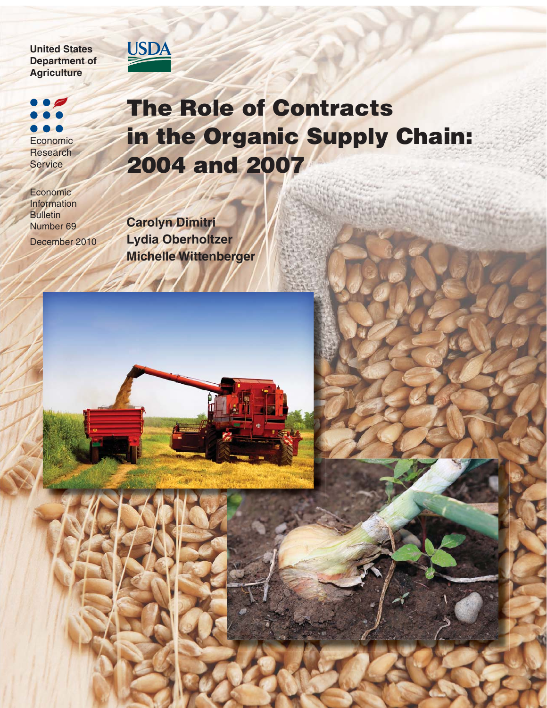#### **United States Department of Agriculture**

# Economic **Research Service**

Economic Information **Bulletin** Number 69 December 2010

# **The Role of Contracts in the Organic Supply Chain: 2004 and 2007**

**Carolyn Dimitri Lydia Oberholtzer Michelle Wittenberger**

 $\mathcal{A}$ 

USDA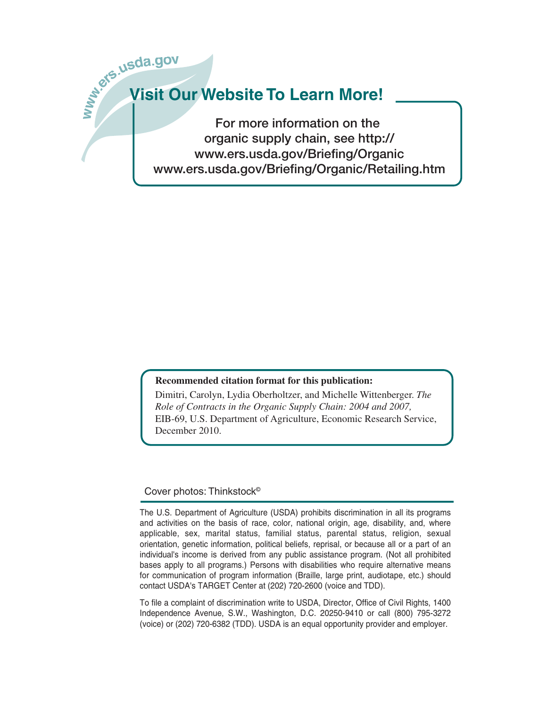

**For more information on the organic supply chain, see http:// www.ers.usda.gov/Briefing/Organic www.ers.usda.gov/Briefing/Organic/Retailing.htm**

#### **Recommended citation format for this publication:**

Dimitri, Carolyn, Lydia Oberholtzer, and Michelle Wittenberger. *The Role of Contracts in the Organic Supply Chain: 2004 and 2007,*  EIB-69, U.S. Department of Agriculture, Economic Research Service, December 2010.

#### Cover photos: Thinkstock©

The U.S. Department of Agriculture (USDA) prohibits discrimination in all its programs and activities on the basis of race, color, national origin, age, disability, and, where applicable, sex, marital status, familial status, parental status, religion, sexual orientation, genetic information, political beliefs, reprisal, or because all or a part of an individual's income is derived from any public assistance program. (Not all prohibited bases apply to all programs.) Persons with disabilities who require alternative means for communication of program information (Braille, large print, audiotape, etc.) should contact USDA's TARGET Center at (202) 720-2600 (voice and TDD).

To file a complaint of discrimination write to USDA, Director, Office of Civil Rights, 1400 Independence Avenue, S.W., Washington, D.C. 20250-9410 or call (800) 795-3272 (voice) or (202) 720-6382 (TDD). USDA is an equal opportunity provider and employer.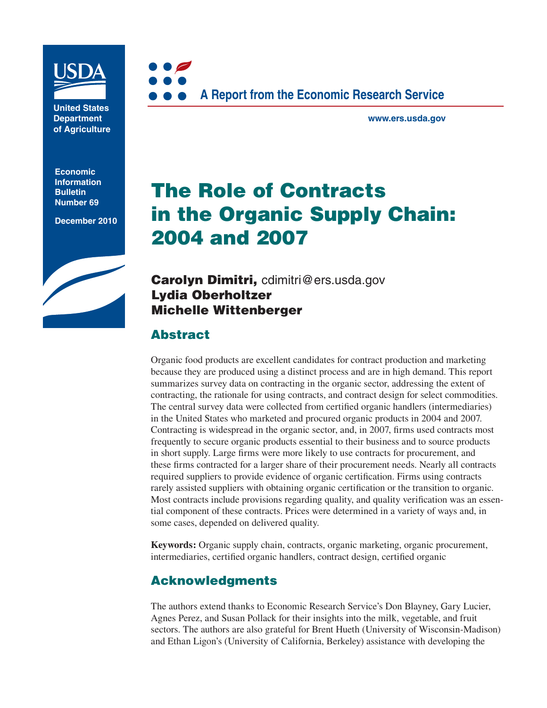

**United States Department of Agriculture**

**Economic Information Bulletin Number 69**

**December 2010**





**www.ers.usda.gov**

# **The Role of Contracts in the Organic Supply Chain: 2004 and 2007**

**Carolyn Dimitri,** cdimitri@ers.usda.gov **Lydia Oberholtzer Michelle Wittenberger**

# **Abstract**

Organic food products are excellent candidates for contract production and marketing because they are produced using a distinct process and are in high demand. This report summarizes survey data on contracting in the organic sector, addressing the extent of contracting, the rationale for using contracts, and contract design for select commodities. The central survey data were collected from certified organic handlers (intermediaries) in the United States who marketed and procured organic products in 2004 and 2007. Contracting is widespread in the organic sector, and, in 2007, firms used contracts most frequently to secure organic products essential to their business and to source products in short supply. Large firms were more likely to use contracts for procurement, and these firms contracted for a larger share of their procurement needs. Nearly all contracts required suppliers to provide evidence of organic certification. Firms using contracts rarely assisted suppliers with obtaining organic certification or the transition to organic. Most contracts include provisions regarding quality, and quality verification was an essential component of these contracts. Prices were determined in a variety of ways and, in some cases, depended on delivered quality.

**Keywords:** Organic supply chain, contracts, organic marketing, organic procurement, intermediaries, certified organic handlers, contract design, certified organic

# **Acknowledgments**

The authors extend thanks to Economic Research Service's Don Blayney, Gary Lucier, Agnes Perez, and Susan Pollack for their insights into the milk, vegetable, and fruit sectors. The authors are also grateful for Brent Hueth (University of Wisconsin-Madison) and Ethan Ligon's (University of California, Berkeley) assistance with developing the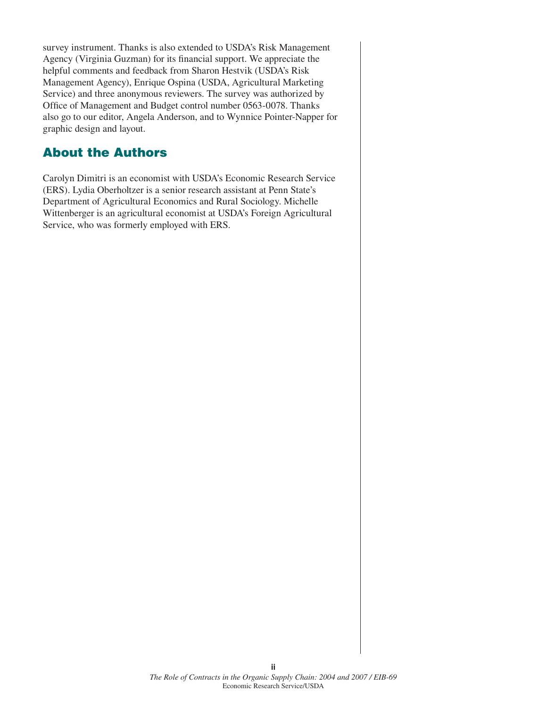survey instrument. Thanks is also extended to USDA's Risk Management Agency (Virginia Guzman) for its financial support. We appreciate the helpful comments and feedback from Sharon Hestvik (USDA's Risk Management Agency), Enrique Ospina (USDA, Agricultural Marketing Service) and three anonymous reviewers. The survey was authorized by Office of Management and Budget control number 0563-0078. Thanks also go to our editor, Angela Anderson, and to Wynnice Pointer-Napper for graphic design and layout.

# **About the Authors**

Carolyn Dimitri is an economist with USDA's Economic Research Service (ERS). Lydia Oberholtzer is a senior research assistant at Penn State's Department of Agricultural Economics and Rural Sociology. Michelle Wittenberger is an agricultural economist at USDA's Foreign Agricultural Service, who was formerly employed with ERS.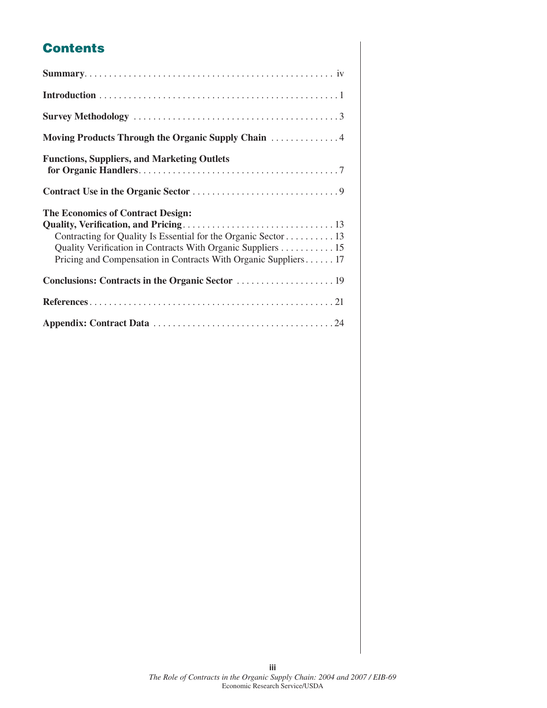# **Contents**

| <b>Functions, Suppliers, and Marketing Outlets</b>                                                                                                                                                                                           |
|----------------------------------------------------------------------------------------------------------------------------------------------------------------------------------------------------------------------------------------------|
|                                                                                                                                                                                                                                              |
| <b>The Economics of Contract Design:</b><br>Contracting for Quality Is Essential for the Organic Sector 13<br>Quality Verification in Contracts With Organic Suppliers 15<br>Pricing and Compensation in Contracts With Organic Suppliers 17 |
|                                                                                                                                                                                                                                              |
|                                                                                                                                                                                                                                              |
|                                                                                                                                                                                                                                              |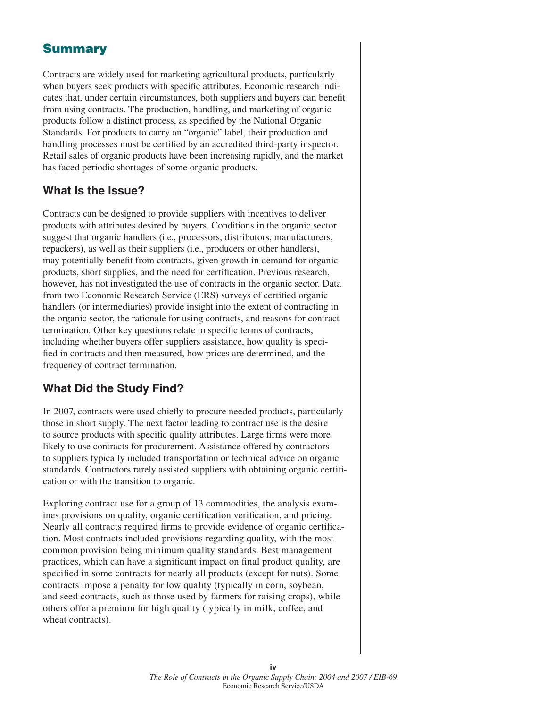# **Summary**

Contracts are widely used for marketing agricultural products, particularly when buyers seek products with specific attributes. Economic research indicates that, under certain circumstances, both suppliers and buyers can benefit from using contracts. The production, handling, and marketing of organic products follow a distinct process, as specified by the National Organic Standards. For products to carry an "organic" label, their production and handling processes must be certified by an accredited third-party inspector. Retail sales of organic products have been increasing rapidly, and the market has faced periodic shortages of some organic products.

## **What Is the Issue?**

Contracts can be designed to provide suppliers with incentives to deliver products with attributes desired by buyers. Conditions in the organic sector suggest that organic handlers (i.e., processors, distributors, manufacturers, repackers), as well as their suppliers (i.e., producers or other handlers), may potentially benefit from contracts, given growth in demand for organic products, short supplies, and the need for certification. Previous research, however, has not investigated the use of contracts in the organic sector. Data from two Economic Research Service (ERS) surveys of certified organic handlers (or intermediaries) provide insight into the extent of contracting in the organic sector, the rationale for using contracts, and reasons for contract termination. Other key questions relate to specific terms of contracts, including whether buyers offer suppliers assistance, how quality is specified in contracts and then measured, how prices are determined, and the frequency of contract termination.

# **What Did the Study Find?**

In 2007, contracts were used chiefly to procure needed products, particularly those in short supply. The next factor leading to contract use is the desire to source products with specific quality attributes. Large firms were more likely to use contracts for procurement. Assistance offered by contractors to suppliers typically included transportation or technical advice on organic standards. Contractors rarely assisted suppliers with obtaining organic certifi cation or with the transition to organic.

Exploring contract use for a group of 13 commodities, the analysis examines provisions on quality, organic certification verification, and pricing. Nearly all contracts required firms to provide evidence of organic certification. Most contracts included provisions regarding quality, with the most common provision being minimum quality standards. Best management practices, which can have a significant impact on final product quality, are specified in some contracts for nearly all products (except for nuts). Some contracts impose a penalty for low quality (typically in corn, soybean, and seed contracts, such as those used by farmers for raising crops), while others offer a premium for high quality (typically in milk, coffee, and wheat contracts).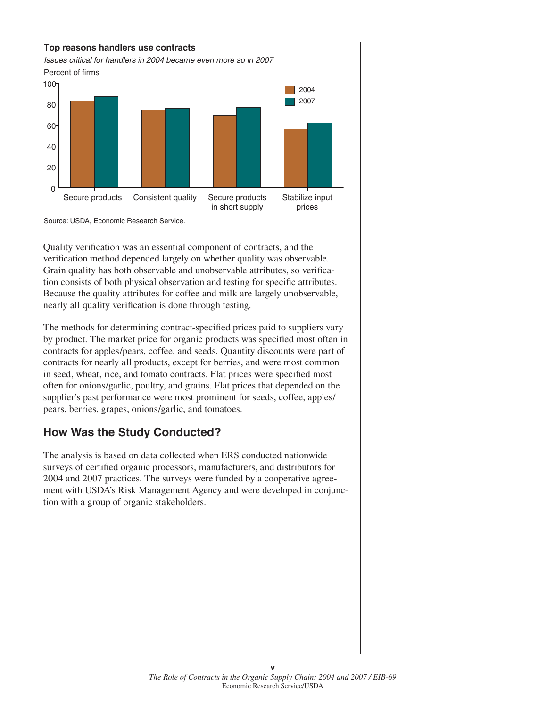



Quality verification was an essential component of contracts, and the verification method depended largely on whether quality was observable. Grain quality has both observable and unobservable attributes, so verification consists of both physical observation and testing for specific attributes. Because the quality attributes for coffee and milk are largely unobservable, nearly all quality verification is done through testing.

The methods for determining contract-specified prices paid to suppliers vary by product. The market price for organic products was specified most often in contracts for apples/pears, coffee, and seeds. Quantity discounts were part of contracts for nearly all products, except for berries, and were most common in seed, wheat, rice, and tomato contracts. Flat prices were specified most often for onions/garlic, poultry, and grains. Flat prices that depended on the supplier's past performance were most prominent for seeds, coffee, apples/ pears, berries, grapes, onions/garlic, and tomatoes.

# **How Was the Study Conducted?**

The analysis is based on data collected when ERS conducted nationwide surveys of certified organic processors, manufacturers, and distributors for 2004 and 2007 practices. The surveys were funded by a cooperative agreement with USDA's Risk Management Agency and were developed in conjunction with a group of organic stakeholders.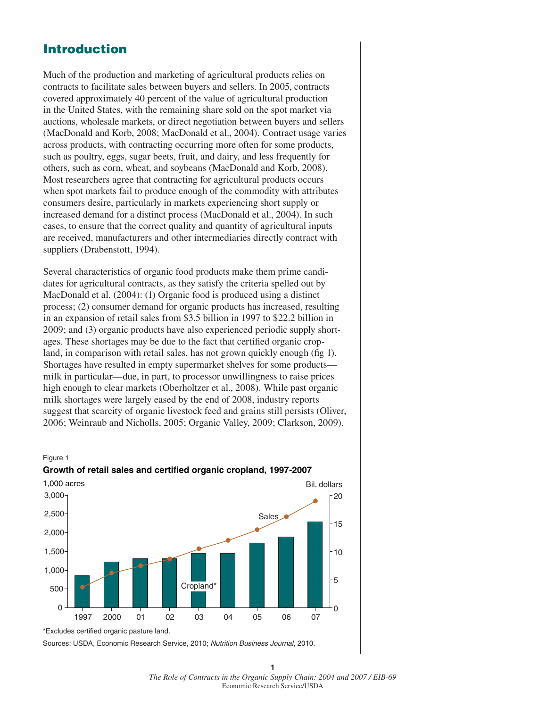### **Introduction**

Much of the production and marketing of agricultural products relies on contracts to facilitate sales between buyers and sellers. In 2005, contracts covered approximately 40 percent of the value of agricultural production in the United States, with the remaining share sold on the spot market via auctions, wholesale markets, or direct negotiation between buyers and sellers (MacDonald and Korb, 2008; MacDonald et al., 2004). Contract usage varies across products, with contracting occurring more often for some products, such as poultry, eggs, sugar beets, fruit, and dairy, and less frequently for others, such as corn, wheat, and soybeans (MacDonald and Korb, 2008). Most researchers agree that contracting for agricultural products occurs when spot markets fail to produce enough of the commodity with attributes consumers desire, particularly in markets experiencing short supply or increased demand for a distinct process (MacDonald et al., 2004). In such cases, to ensure that the correct quality and quantity of agricultural inputs are received, manufacturers and other intermediaries directly contract with suppliers (Drabenstott, 1994).

Several characteristics of organic food products make them prime candidates for agricultural contracts, as they satisfy the criteria spelled out by MacDonald et al. (2004): (1) Organic food is produced using a distinct process; (2) consumer demand for organic products has increased, resulting in an expansion of retail sales from \$3.5 billion in 1997 to \$22.2 billion in 2009; and (3) organic products have also experienced periodic supply shortages. These shortages may be due to the fact that certified organic cropland, in comparison with retail sales, has not grown quickly enough (fig 1). Shortages have resulted in empty supermarket shelves for some products milk in particular—due, in part, to processor unwillingness to raise prices high enough to clear markets (Oberholtzer et al., 2008). While past organic milk shortages were largely eased by the end of 2008, industry reports suggest that scarcity of organic livestock feed and grains still persists (Oliver, 2006; Weinraub and Nicholls, 2005; Organic Valley, 2009; Clarkson, 2009).

#### Figure 1





Sources: USDA, Economic Research Service, 2010; *Nutrition Business Journal*, 2010.

**1** *The Role of Contracts in the Organic Supply Chain: 2004 and 2007 / EIB-69* Economic Research Service/USDA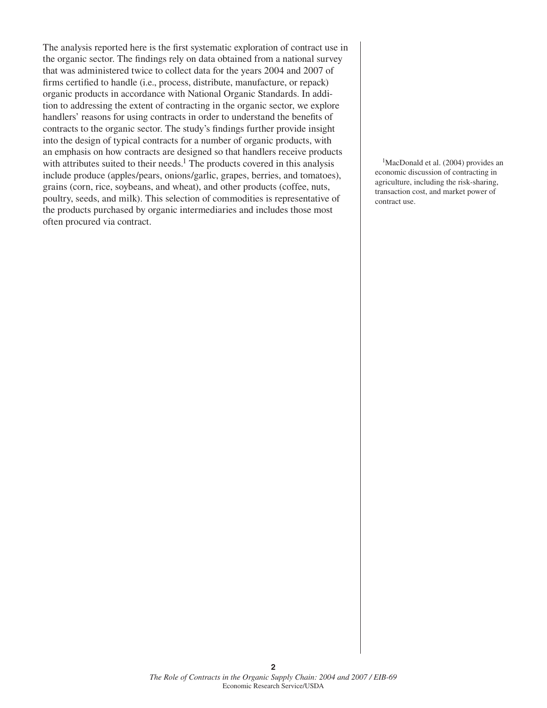The analysis reported here is the first systematic exploration of contract use in the organic sector. The findings rely on data obtained from a national survey that was administered twice to collect data for the years 2004 and 2007 of firms certified to handle (i.e., process, distribute, manufacture, or repack) organic products in accordance with National Organic Standards. In addition to addressing the extent of contracting in the organic sector, we explore handlers' reasons for using contracts in order to understand the benefits of contracts to the organic sector. The study's findings further provide insight into the design of typical contracts for a number of organic products, with an emphasis on how contracts are designed so that handlers receive products with attributes suited to their needs.<sup>1</sup> The products covered in this analysis include produce (apples/pears, onions/garlic, grapes, berries, and tomatoes), grains (corn, rice, soybeans, and wheat), and other products (coffee, nuts, poultry, seeds, and milk). This selection of commodities is representative of the products purchased by organic intermediaries and includes those most often procured via contract.

<sup>1</sup>MacDonald et al. (2004) provides an economic discussion of contracting in agriculture, including the risk-sharing, transaction cost, and market power of contract use.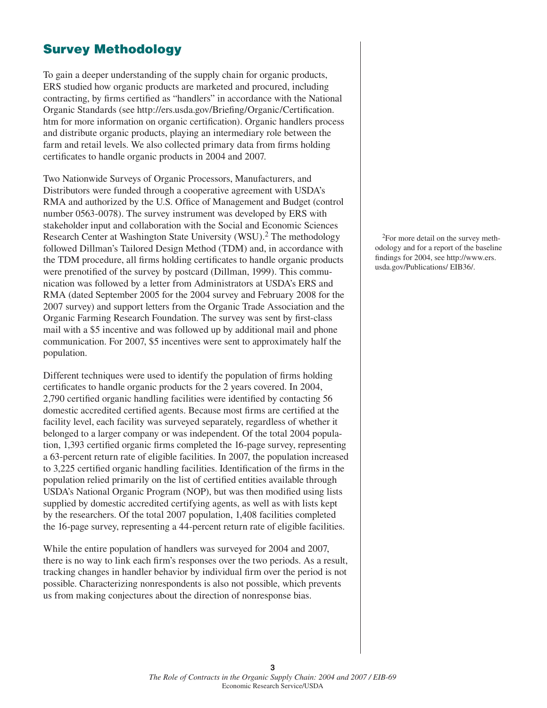# **Survey Methodology**

To gain a deeper understanding of the supply chain for organic products, ERS studied how organic products are marketed and procured, including contracting, by firms certified as "handlers" in accordance with the National Organic Standards (see http://ers.usda.gov/Briefing/Organic/Certification. htm for more information on organic certification). Organic handlers process and distribute organic products, playing an intermediary role between the farm and retail levels. We also collected primary data from firms holding certificates to handle organic products in 2004 and 2007.

Two Nationwide Surveys of Organic Processors, Manufacturers, and Distributors were funded through a cooperative agreement with USDA's RMA and authorized by the U.S. Office of Management and Budget (control number 0563-0078). The survey instrument was developed by ERS with stakeholder input and collaboration with the Social and Economic Sciences Research Center at Washington State University (WSU).<sup>2</sup> The methodology followed Dillman's Tailored Design Method (TDM) and, in accordance with the TDM procedure, all firms holding certificates to handle organic products were prenotified of the survey by postcard (Dillman, 1999). This communication was followed by a letter from Administrators at USDA's ERS and RMA (dated September 2005 for the 2004 survey and February 2008 for the 2007 survey) and support letters from the Organic Trade Association and the Organic Farming Research Foundation. The survey was sent by first-class mail with a \$5 incentive and was followed up by additional mail and phone communication. For 2007, \$5 incentives were sent to approximately half the population.

Different techniques were used to identify the population of firms holding certificates to handle organic products for the 2 years covered. In 2004, 2,790 certified organic handling facilities were identified by contacting 56 domestic accredited certified agents. Because most firms are certified at the facility level, each facility was surveyed separately, regardless of whether it belonged to a larger company or was independent. Of the total 2004 population, 1,393 certified organic firms completed the 16-page survey, representing a 63-percent return rate of eligible facilities. In 2007, the population increased to 3,225 certified organic handling facilities. Identification of the firms in the population relied primarily on the list of certified entities available through USDA's National Organic Program (NOP), but was then modified using lists supplied by domestic accredited certifying agents, as well as with lists kept by the researchers. Of the total 2007 population, 1,408 facilities completed the 16-page survey, representing a 44-percent return rate of eligible facilities.

While the entire population of handlers was surveyed for 2004 and 2007, there is no way to link each firm's responses over the two periods. As a result, tracking changes in handler behavior by individual firm over the period is not possible. Characterizing nonrespondents is also not possible, which prevents us from making conjectures about the direction of nonresponse bias.

2For more detail on the survey methodology and for a report of the baseline findings for 2004, see http://www.ers. usda.gov/Publications/ EIB36/.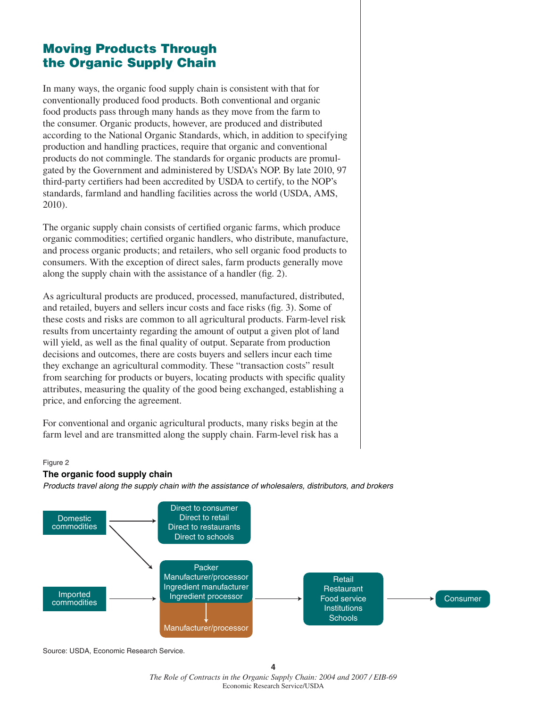# **Moving Products Through the Organic Supply Chain**

In many ways, the organic food supply chain is consistent with that for conventionally produced food products. Both conventional and organic food products pass through many hands as they move from the farm to the consumer. Organic products, however, are produced and distributed according to the National Organic Standards, which, in addition to specifying production and handling practices, require that organic and conventional products do not commingle. The standards for organic products are promulgated by the Government and administered by USDA's NOP. By late 2010, 97 third-party certifiers had been accredited by USDA to certify, to the NOP's standards, farmland and handling facilities across the world (USDA, AMS, 2010).

The organic supply chain consists of certified organic farms, which produce organic commodities; certified organic handlers, who distribute, manufacture, and process organic products; and retailers, who sell organic food products to consumers. With the exception of direct sales, farm products generally move along the supply chain with the assistance of a handler (fig. 2).

As agricultural products are produced, processed, manufactured, distributed, and retailed, buyers and sellers incur costs and face risks (fig. 3). Some of these costs and risks are common to all agricultural products. Farm-level risk results from uncertainty regarding the amount of output a given plot of land will yield, as well as the final quality of output. Separate from production decisions and outcomes, there are costs buyers and sellers incur each time they exchange an agricultural commodity. These "transaction costs" result from searching for products or buyers, locating products with specific quality attributes, measuring the quality of the good being exchanged, establishing a price, and enforcing the agreement.

For conventional and organic agricultural products, many risks begin at the farm level and are transmitted along the supply chain. Farm-level risk has a

#### Figure 2

#### **The organic food supply chain**

*Products travel along the supply chain with the assistance of wholesalers, distributors, and brokers*



Source: USDA, Economic Research Service.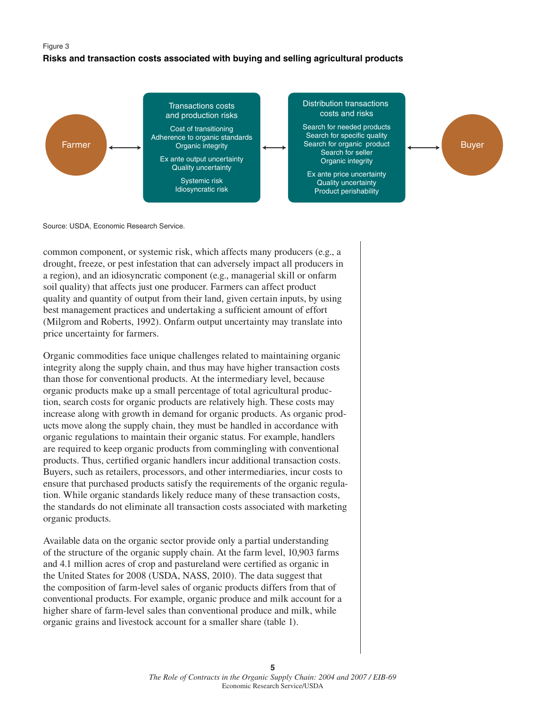#### Figure 3

#### **Risks and transaction costs associated with buying and selling agricultural products**



Source: USDA, Economic Research Service.

common component, or systemic risk, which affects many producers (e.g., a drought, freeze, or pest infestation that can adversely impact all producers in a region), and an idiosyncratic component (e.g., managerial skill or onfarm soil quality) that affects just one producer. Farmers can affect product quality and quantity of output from their land, given certain inputs, by using best management practices and undertaking a sufficient amount of effort (Milgrom and Roberts, 1992). Onfarm output uncertainty may translate into price uncertainty for farmers.

Organic commodities face unique challenges related to maintaining organic integrity along the supply chain, and thus may have higher transaction costs than those for conventional products. At the intermediary level, because organic products make up a small percentage of total agricultural production, search costs for organic products are relatively high. These costs may increase along with growth in demand for organic products. As organic products move along the supply chain, they must be handled in accordance with organic regulations to maintain their organic status. For example, handlers are required to keep organic products from commingling with conventional products. Thus, certified organic handlers incur additional transaction costs. Buyers, such as retailers, processors, and other intermediaries, incur costs to ensure that purchased products satisfy the requirements of the organic regulation. While organic standards likely reduce many of these transaction costs, the standards do not eliminate all transaction costs associated with marketing organic products.

Available data on the organic sector provide only a partial understanding of the structure of the organic supply chain. At the farm level, 10,903 farms and 4.1 million acres of crop and pastureland were certified as organic in the United States for 2008 (USDA, NASS, 2010). The data suggest that the composition of farm-level sales of organic products differs from that of conventional products. For example, organic produce and milk account for a higher share of farm-level sales than conventional produce and milk, while organic grains and livestock account for a smaller share (table 1).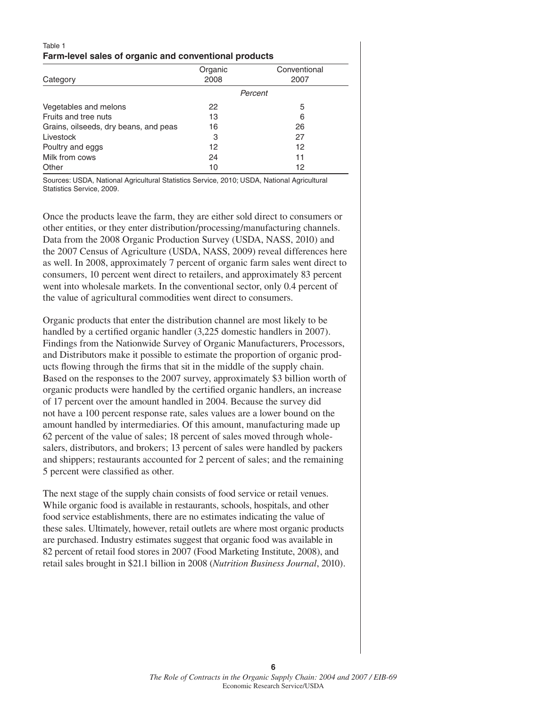#### Table 1 **Farm-level sales of organic and conventional products**

| Category                              | Organic<br>2008 | Conventional<br>2007 |
|---------------------------------------|-----------------|----------------------|
|                                       |                 | Percent              |
| Vegetables and melons                 | 22              | 5                    |
| Fruits and tree nuts                  | 13              | 6                    |
| Grains, oilseeds, dry beans, and peas | 16              | 26                   |
| Livestock                             | 3               | 27                   |
| Poultry and eggs                      | 12              | 12                   |
| Milk from cows                        | 24              | 11                   |
| Other                                 | 10              | 12                   |

Sources: USDA, National Agricultural Statistics Service, 2010; USDA, National Agricultural Statistics Service, 2009.

Once the products leave the farm, they are either sold direct to consumers or other entities, or they enter distribution/processing/manufacturing channels. Data from the 2008 Organic Production Survey (USDA, NASS, 2010) and the 2007 Census of Agriculture (USDA, NASS, 2009) reveal differences here as well. In 2008, approximately 7 percent of organic farm sales went direct to consumers, 10 percent went direct to retailers, and approximately 83 percent went into wholesale markets. In the conventional sector, only 0.4 percent of the value of agricultural commodities went direct to consumers.

Organic products that enter the distribution channel are most likely to be handled by a certified organic handler (3,225 domestic handlers in 2007). Findings from the Nationwide Survey of Organic Manufacturers, Processors, and Distributors make it possible to estimate the proportion of organic products flowing through the firms that sit in the middle of the supply chain. Based on the responses to the 2007 survey, approximately \$3 billion worth of organic products were handled by the certified organic handlers, an increase of 17 percent over the amount handled in 2004. Because the survey did not have a 100 percent response rate, sales values are a lower bound on the amount handled by intermediaries. Of this amount, manufacturing made up 62 percent of the value of sales; 18 percent of sales moved through wholesalers, distributors, and brokers; 13 percent of sales were handled by packers and shippers; restaurants accounted for 2 percent of sales; and the remaining 5 percent were classified as other.

The next stage of the supply chain consists of food service or retail venues. While organic food is available in restaurants, schools, hospitals, and other food service establishments, there are no estimates indicating the value of these sales. Ultimately, however, retail outlets are where most organic products are purchased. Industry estimates suggest that organic food was available in 82 percent of retail food stores in 2007 (Food Marketing Institute, 2008), and retail sales brought in \$21.1 billion in 2008 (*Nutrition Business Journal*, 2010).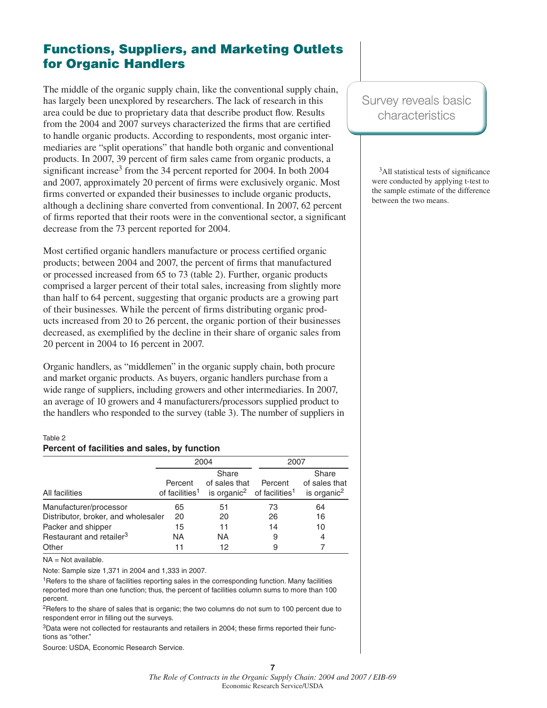# **Functions, Suppliers, and Marketing Outlets for Organic Handlers**

The middle of the organic supply chain, like the conventional supply chain, has largely been unexplored by researchers. The lack of research in this area could be due to proprietary data that describe product flow. Results from the 2004 and 2007 surveys characterized the firms that are certified to handle organic products. According to respondents, most organic intermediaries are "split operations" that handle both organic and conventional products. In 2007, 39 percent of firm sales came from organic products, a significant increase<sup>3</sup> from the 34 percent reported for 2004. In both 2004 and 2007, approximately 20 percent of firms were exclusively organic. Most firms converted or expanded their businesses to include organic products, although a declining share converted from conventional. In 2007, 62 percent of firms reported that their roots were in the conventional sector, a significant decrease from the 73 percent reported for 2004.

Most certified organic handlers manufacture or process certified organic products; between 2004 and 2007, the percent of firms that manufactured or processed increased from 65 to 73 (table 2). Further, organic products comprised a larger percent of their total sales, increasing from slightly more than half to 64 percent, suggesting that organic products are a growing part of their businesses. While the percent of firms distributing organic products increased from 20 to 26 percent, the organic portion of their businesses decreased, as exemplified by the decline in their share of organic sales from 20 percent in 2004 to 16 percent in 2007.

Organic handlers, as "middlemen" in the organic supply chain, both procure and market organic products. As buyers, organic handlers purchase from a wide range of suppliers, including growers and other intermediaries. In 2007, an average of 10 growers and 4 manufacturers/processors supplied product to the handlers who responded to the survey (table 3). The number of suppliers in

#### Table 2 **Percent of facilities and sales, by function**

|                                      |                                       | 2004                                                                         | 2007    |                                                   |  |
|--------------------------------------|---------------------------------------|------------------------------------------------------------------------------|---------|---------------------------------------------------|--|
| All facilities                       | Percent<br>of facilities <sup>1</sup> | Share<br>of sales that<br>is organic <sup>2</sup> of facilities <sup>1</sup> | Percent | Share<br>of sales that<br>is organic <sup>2</sup> |  |
| Manufacturer/processor               | 65                                    | 51                                                                           | 73      | 64                                                |  |
| Distributor, broker, and wholesaler  | 20                                    | 20                                                                           | 26      | 16                                                |  |
| Packer and shipper                   | 15                                    | 11                                                                           | 14      | 10                                                |  |
| Restaurant and retailer <sup>3</sup> | <b>NA</b>                             | ΝA                                                                           | 9       | 4                                                 |  |
| Other                                | 11                                    | 12                                                                           | 9       |                                                   |  |

NA = Not available.

Note: Sample size 1,371 in 2004 and 1,333 in 2007.

1Refers to the share of facilities reporting sales in the corresponding function. Many facilities reported more than one function; thus, the percent of facilities column sums to more than 100 percent.

<sup>2</sup>Refers to the share of sales that is organic; the two columns do not sum to 100 percent due to respondent error in filling out the surveys.

 $3$ Data were not collected for restaurants and retailers in 2004; these firms reported their functions as "other."

Source: USDA, Economic Research Service.

# Survey reveals basic characteristics

 $3$ All statistical tests of significance were conducted by applying t-test to the sample estimate of the difference between the two means.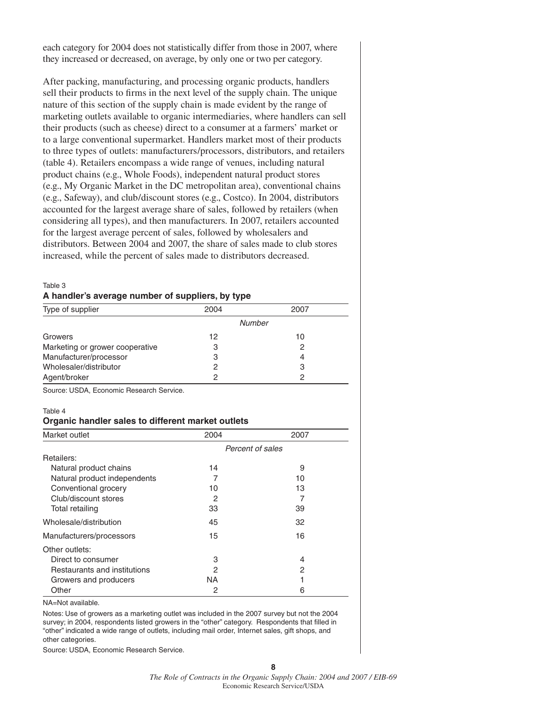each category for 2004 does not statistically differ from those in 2007, where they increased or decreased, on average, by only one or two per category.

After packing, manufacturing, and processing organic products, handlers sell their products to firms in the next level of the supply chain. The unique nature of this section of the supply chain is made evident by the range of marketing outlets available to organic intermediaries, where handlers can sell their products (such as cheese) direct to a consumer at a farmers' market or to a large conventional supermarket. Handlers market most of their products to three types of outlets: manufacturers/processors, distributors, and retailers (table 4). Retailers encompass a wide range of venues, including natural product chains (e.g., Whole Foods), independent natural product stores (e.g., My Organic Market in the DC metropolitan area), conventional chains (e.g., Safeway), and club/discount stores (e.g., Costco). In 2004, distributors accounted for the largest average share of sales, followed by retailers (when considering all types), and then manufacturers. In 2007, retailers accounted for the largest average percent of sales, followed by wholesalers and distributors. Between 2004 and 2007, the share of sales made to club stores increased, while the percent of sales made to distributors decreased.

#### Table 3 **A handler's average number of suppliers, by type**

| Type of supplier                | 2004   | 2007 |
|---------------------------------|--------|------|
|                                 | Number |      |
| Growers                         | 12     | 10   |
| Marketing or grower cooperative | З      |      |
| Manufacturer/processor          | 3      |      |
| Wholesaler/distributor          | 2      | З    |
| Agent/broker                    | 2      | 2    |

Source: USDA, Economic Research Service.

#### Table 4

#### **Organic handler sales to different market outlets**

| Market outlet                | 2004             | 2007 |  |  |  |  |
|------------------------------|------------------|------|--|--|--|--|
|                              | Percent of sales |      |  |  |  |  |
| Retailers:                   |                  |      |  |  |  |  |
| Natural product chains       | 14               | 9    |  |  |  |  |
| Natural product independents | 7                | 10   |  |  |  |  |
| Conventional grocery         | 10               | 13   |  |  |  |  |
| Club/discount stores         | 2                |      |  |  |  |  |
| Total retailing              | 33               | 39   |  |  |  |  |
| Wholesale/distribution       | 45               | 32   |  |  |  |  |
| Manufacturers/processors     | 15               | 16   |  |  |  |  |
| Other outlets:               |                  |      |  |  |  |  |
| Direct to consumer           | 3                | 4    |  |  |  |  |
| Restaurants and institutions | 2                | 2    |  |  |  |  |
| Growers and producers        | NA.              |      |  |  |  |  |
| Other                        | 2                | 6    |  |  |  |  |

NA=Not available.

Notes: Use of growers as a marketing outlet was included in the 2007 survey but not the 2004 survey; in 2004, respondents listed growers in the "other" category. Respondents that filled in "other" indicated a wide range of outlets, including mail order, Internet sales, gift shops, and other categories.

Source: USDA, Economic Research Service.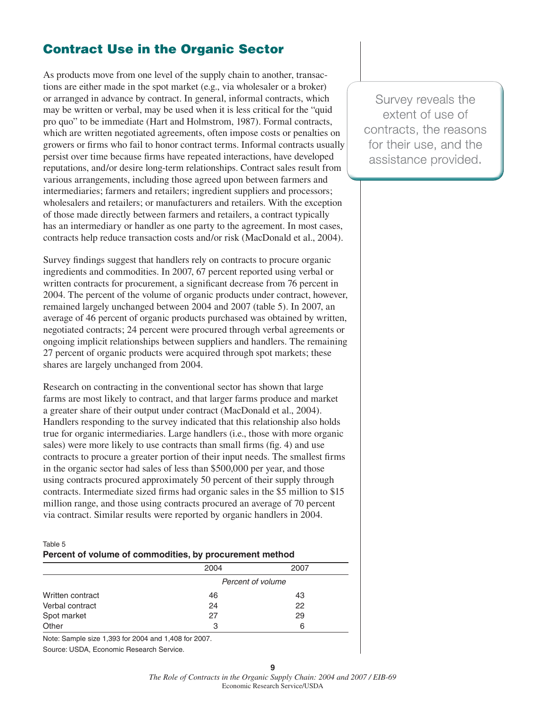# **Contract Use in the Organic Sector**

As products move from one level of the supply chain to another, transactions are either made in the spot market (e.g., via wholesaler or a broker) or arranged in advance by contract. In general, informal contracts, which may be written or verbal, may be used when it is less critical for the "quid pro quo" to be immediate (Hart and Holmstrom, 1987). Formal contracts, which are written negotiated agreements, often impose costs or penalties on growers or firms who fail to honor contract terms. Informal contracts usually persist over time because firms have repeated interactions, have developed reputations, and/or desire long-term relationships. Contract sales result from various arrangements, including those agreed upon between farmers and intermediaries; farmers and retailers; ingredient suppliers and processors; wholesalers and retailers; or manufacturers and retailers. With the exception of those made directly between farmers and retailers, a contract typically has an intermediary or handler as one party to the agreement. In most cases, contracts help reduce transaction costs and/or risk (MacDonald et al., 2004).

Survey findings suggest that handlers rely on contracts to procure organic ingredients and commodities. In 2007, 67 percent reported using verbal or written contracts for procurement, a significant decrease from 76 percent in 2004. The percent of the volume of organic products under contract, however, remained largely unchanged between 2004 and 2007 (table 5). In 2007, an average of 46 percent of organic products purchased was obtained by written, negotiated contracts; 24 percent were procured through verbal agreements or ongoing implicit relationships between suppliers and handlers. The remaining 27 percent of organic products were acquired through spot markets; these shares are largely unchanged from 2004.

Research on contracting in the conventional sector has shown that large farms are most likely to contract, and that larger farms produce and market a greater share of their output under contract (MacDonald et al., 2004). Handlers responding to the survey indicated that this relationship also holds true for organic intermediaries. Large handlers (i.e., those with more organic sales) were more likely to use contracts than small firms (fig. 4) and use contracts to procure a greater portion of their input needs. The smallest firms in the organic sector had sales of less than \$500,000 per year, and those using contracts procured approximately 50 percent of their supply through contracts. Intermediate sized firms had organic sales in the \$5 million to \$15 million range, and those using contracts procured an average of 70 percent via contract. Similar results were reported by organic handlers in 2004.

#### Table 5

| Percent of volume of commodities, by procurement method |
|---------------------------------------------------------|
|                                                         |

|                  | 2004              | 2007 |
|------------------|-------------------|------|
|                  | Percent of volume |      |
| Written contract | 46                | 43   |
| Verbal contract  | 24                | 22   |
| Spot market      | 27                | 29   |
| Other            | 3                 | 6    |

Note: Sample size 1,393 for 2004 and 1,408 for 2007.

Source: USDA, Economic Research Service.

**9**

Survey reveals the extent of use of contracts, the reasons for their use, and the assistance provided.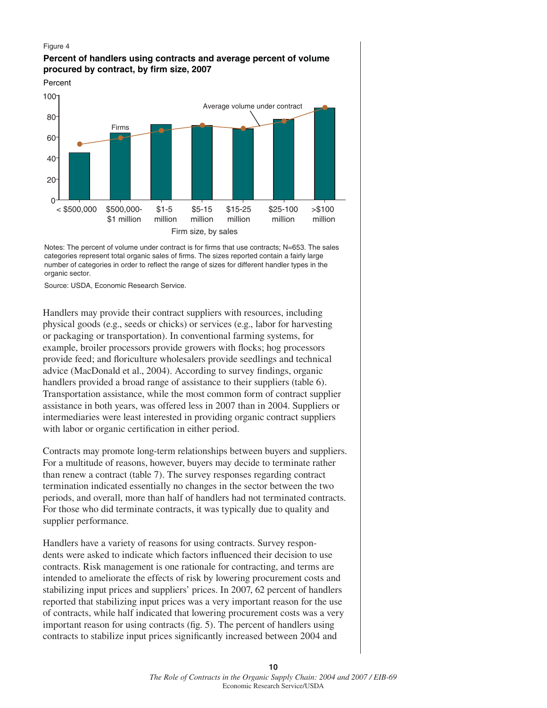#### Figure 4

#### **Percent of handlers using contracts and average percent of volume procured by contract, by firm size, 2007**



Notes: The percent of volume under contract is for firms that use contracts; N=653. The sales categories represent total organic sales of firms. The sizes reported contain a fairly large number of categories in order to reflect the range of sizes for different handler types in the organic sector.

Source: USDA, Economic Research Service.

Handlers may provide their contract suppliers with resources, including physical goods (e.g., seeds or chicks) or services (e.g., labor for harvesting or packaging or transportation). In conventional farming systems, for example, broiler processors provide growers with flocks; hog processors provide feed; and floriculture wholesalers provide seedlings and technical advice (MacDonald et al., 2004). According to survey findings, organic handlers provided a broad range of assistance to their suppliers (table 6). Transportation assistance, while the most common form of contract supplier assistance in both years, was offered less in 2007 than in 2004. Suppliers or intermediaries were least interested in providing organic contract suppliers with labor or organic certification in either period.

Contracts may promote long-term relationships between buyers and suppliers. For a multitude of reasons, however, buyers may decide to terminate rather than renew a contract (table 7). The survey responses regarding contract termination indicated essentially no changes in the sector between the two periods, and overall, more than half of handlers had not terminated contracts. For those who did terminate contracts, it was typically due to quality and supplier performance.

Handlers have a variety of reasons for using contracts. Survey respondents were asked to indicate which factors influenced their decision to use contracts. Risk management is one rationale for contracting, and terms are intended to ameliorate the effects of risk by lowering procurement costs and stabilizing input prices and suppliers' prices. In 2007, 62 percent of handlers reported that stabilizing input prices was a very important reason for the use of contracts, while half indicated that lowering procurement costs was a very important reason for using contracts (fig. 5). The percent of handlers using contracts to stabilize input prices significantly increased between 2004 and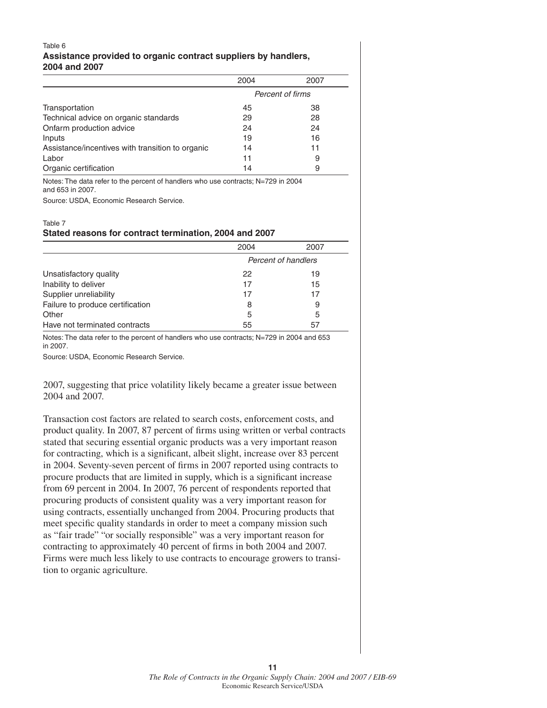#### Table 6 **Assistance provided to organic contract suppliers by handlers, 2004 and 2007**

|                                                  | 2004 | 2007             |
|--------------------------------------------------|------|------------------|
|                                                  |      | Percent of firms |
| Transportation                                   | 45   | 38               |
| Technical advice on organic standards            | 29   | 28               |
| Onfarm production advice                         | 24   | 24               |
| Inputs                                           | 19   | 16               |
| Assistance/incentives with transition to organic | 14   | 11               |
| Labor                                            | 11   | 9                |
| Organic certification                            | 14   | 9                |

Notes: The data refer to the percent of handlers who use contracts; N=729 in 2004 and 653 in 2007.

Source: USDA, Economic Research Service.

#### Table 7 **Stated reasons for contract termination, 2004 and 2007**

|                                  | 2004 | 2007                |
|----------------------------------|------|---------------------|
|                                  |      | Percent of handlers |
| Unsatisfactory quality           | 22   | 19                  |
| Inability to deliver             | 17   | 15                  |
| Supplier unreliability           | 17   | 17                  |
| Failure to produce certification | 8    | 9                   |
| Other                            | 5    | 5                   |
| Have not terminated contracts    | 55   | 57                  |

Notes: The data refer to the percent of handlers who use contracts; N=729 in 2004 and 653 in 2007.

Source: USDA, Economic Research Service.

2007, suggesting that price volatility likely became a greater issue between 2004 and 2007.

Transaction cost factors are related to search costs, enforcement costs, and product quality. In 2007, 87 percent of firms using written or verbal contracts stated that securing essential organic products was a very important reason for contracting, which is a significant, albeit slight, increase over 83 percent in 2004. Seventy-seven percent of firms in 2007 reported using contracts to procure products that are limited in supply, which is a significant increase from 69 percent in 2004. In 2007, 76 percent of respondents reported that procuring products of consistent quality was a very important reason for using contracts, essentially unchanged from 2004. Procuring products that meet specific quality standards in order to meet a company mission such as "fair trade" "or socially responsible" was a very important reason for contracting to approximately 40 percent of firms in both 2004 and 2007. Firms were much less likely to use contracts to encourage growers to transition to organic agriculture.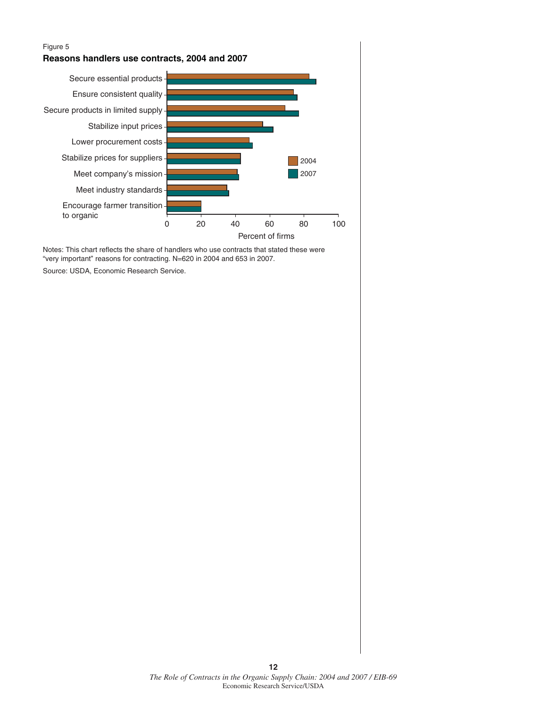

Notes: This chart reflects the share of handlers who use contracts that stated these were "very important" reasons for contracting. N=620 in 2004 and 653 in 2007.

Source: USDA, Economic Research Service.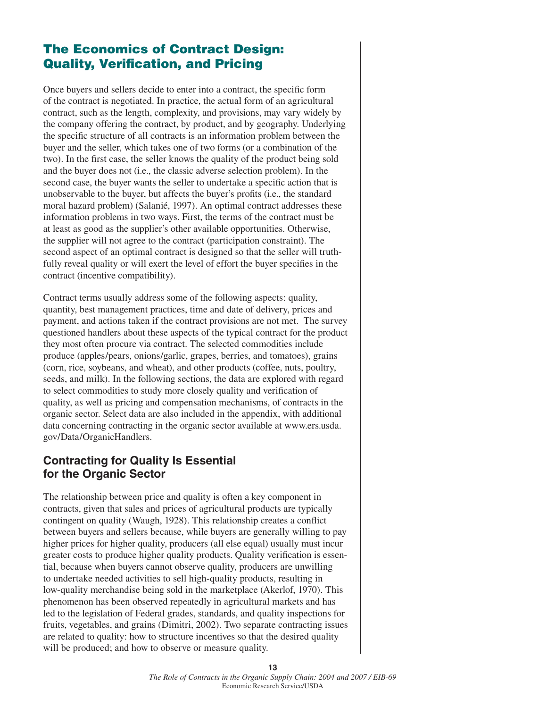# **The Economics of Contract Design: Quality, Verification, and Pricing**

Once buyers and sellers decide to enter into a contract, the specific form of the contract is negotiated. In practice, the actual form of an agricultural contract, such as the length, complexity, and provisions, may vary widely by the company offering the contract, by product, and by geography. Underlying the specific structure of all contracts is an information problem between the buyer and the seller, which takes one of two forms (or a combination of the two). In the first case, the seller knows the quality of the product being sold and the buyer does not (i.e., the classic adverse selection problem). In the second case, the buyer wants the seller to undertake a specific action that is unobservable to the buyer, but affects the buyer's profits (i.e., the standard moral hazard problem) (Salanié, 1997). An optimal contract addresses these information problems in two ways. First, the terms of the contract must be at least as good as the supplier's other available opportunities. Otherwise, the supplier will not agree to the contract (participation constraint). The second aspect of an optimal contract is designed so that the seller will truthfully reveal quality or will exert the level of effort the buyer specifies in the contract (incentive compatibility).

Contract terms usually address some of the following aspects: quality, quantity, best management practices, time and date of delivery, prices and payment, and actions taken if the contract provisions are not met. The survey questioned handlers about these aspects of the typical contract for the product they most often procure via contract. The selected commodities include produce (apples/pears, onions/garlic, grapes, berries, and tomatoes), grains (corn, rice, soybeans, and wheat), and other products (coffee, nuts, poultry, seeds, and milk). In the following sections, the data are explored with regard to select commodities to study more closely quality and verification of quality, as well as pricing and compensation mechanisms, of contracts in the organic sector. Select data are also included in the appendix, with additional data concerning contracting in the organic sector available at www.ers.usda. gov/Data/OrganicHandlers.

# **Contracting for Quality Is Essential for the Organic Sector**

The relationship between price and quality is often a key component in contracts, given that sales and prices of agricultural products are typically contingent on quality (Waugh, 1928). This relationship creates a conflict between buyers and sellers because, while buyers are generally willing to pay higher prices for higher quality, producers (all else equal) usually must incur greater costs to produce higher quality products. Quality verification is essential, because when buyers cannot observe quality, producers are unwilling to undertake needed activities to sell high-quality products, resulting in low-quality merchandise being sold in the marketplace (Akerlof, 1970). This phenomenon has been observed repeatedly in agricultural markets and has led to the legislation of Federal grades, standards, and quality inspections for fruits, vegetables, and grains (Dimitri, 2002). Two separate contracting issues are related to quality: how to structure incentives so that the desired quality will be produced; and how to observe or measure quality.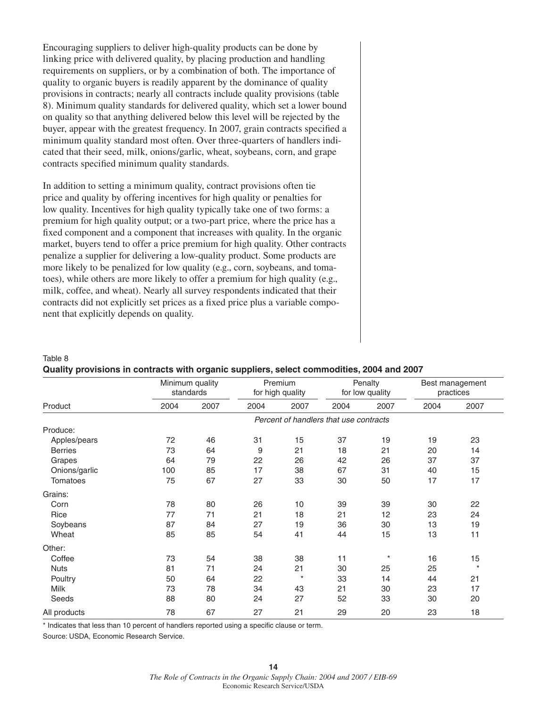Encouraging suppliers to deliver high-quality products can be done by linking price with delivered quality, by placing production and handling requirements on suppliers, or by a combination of both. The importance of quality to organic buyers is readily apparent by the dominance of quality provisions in contracts; nearly all contracts include quality provisions (table 8). Minimum quality standards for delivered quality, which set a lower bound on quality so that anything delivered below this level will be rejected by the buyer, appear with the greatest frequency. In 2007, grain contracts specified a minimum quality standard most often. Over three-quarters of handlers indicated that their seed, milk, onions/garlic, wheat, soybeans, corn, and grape contracts specified minimum quality standards.

In addition to setting a minimum quality, contract provisions often tie price and quality by offering incentives for high quality or penalties for low quality. Incentives for high quality typically take one of two forms: a premium for high quality output; or a two-part price, where the price has a fixed component and a component that increases with quality. In the organic market, buyers tend to offer a price premium for high quality. Other contracts penalize a supplier for delivering a low-quality product. Some products are more likely to be penalized for low quality (e.g., corn, soybeans, and tomatoes), while others are more likely to offer a premium for high quality (e.g., milk, coffee, and wheat). Nearly all survey respondents indicated that their contracts did not explicitly set prices as a fixed price plus a variable component that explicitly depends on quality.

|                | Minimum quality<br>standards |      |      | Premium<br>Penalty<br>for high quality<br>for low quality |                                        | Best management<br>practices |      |         |
|----------------|------------------------------|------|------|-----------------------------------------------------------|----------------------------------------|------------------------------|------|---------|
| Product        | 2004                         | 2007 | 2004 | 2007                                                      | 2004                                   | 2007                         | 2004 | 2007    |
|                |                              |      |      |                                                           | Percent of handlers that use contracts |                              |      |         |
| Produce:       |                              |      |      |                                                           |                                        |                              |      |         |
| Apples/pears   | 72                           | 46   | 31   | 15                                                        | 37                                     | 19                           | 19   | 23      |
| <b>Berries</b> | 73                           | 64   | 9    | 21                                                        | 18                                     | 21                           | 20   | 14      |
| Grapes         | 64                           | 79   | 22   | 26                                                        | 42                                     | 26                           | 37   | 37      |
| Onions/garlic  | 100                          | 85   | 17   | 38                                                        | 67                                     | 31                           | 40   | 15      |
| Tomatoes       | 75                           | 67   | 27   | 33                                                        | 30                                     | 50                           | 17   | 17      |
| Grains:        |                              |      |      |                                                           |                                        |                              |      |         |
| Corn           | 78                           | 80   | 26   | 10                                                        | 39                                     | 39                           | 30   | 22      |
| Rice           | 77                           | 71   | 21   | 18                                                        | 21                                     | 12                           | 23   | 24      |
| Soybeans       | 87                           | 84   | 27   | 19                                                        | 36                                     | 30                           | 13   | 19      |
| Wheat          | 85                           | 85   | 54   | 41                                                        | 44                                     | 15                           | 13   | 11      |
| Other:         |                              |      |      |                                                           |                                        |                              |      |         |
| Coffee         | 73                           | 54   | 38   | 38                                                        | 11                                     | $\star$                      | 16   | 15      |
| <b>Nuts</b>    | 81                           | 71   | 24   | 21                                                        | 30                                     | 25                           | 25   | $\star$ |
| Poultry        | 50                           | 64   | 22   | $\star$                                                   | 33                                     | 14                           | 44   | 21      |
| Milk           | 73                           | 78   | 34   | 43                                                        | 21                                     | 30                           | 23   | 17      |
| Seeds          | 88                           | 80   | 24   | 27                                                        | 52                                     | 33                           | 30   | 20      |
| All products   | 78                           | 67   | 27   | 21                                                        | 29                                     | 20                           | 23   | 18      |

#### Table 8 **Quality provisions in contracts with organic suppliers, select commodities, 2004 and 2007**

\* Indicates that less than 10 percent of handlers reported using a specific clause or term.

Source: USDA, Economic Research Service.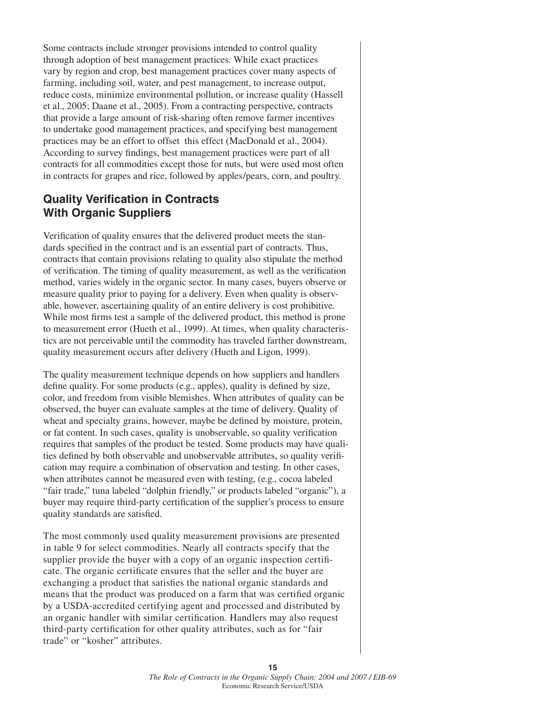Some contracts include stronger provisions intended to control quality through adoption of best management practices. While exact practices vary by region and crop, best management practices cover many aspects of farming, including soil, water, and pest management, to increase output, reduce costs, minimize environmental pollution, or increase quality (Hassell et al., 2005; Daane et al., 2005). From a contracting perspective, contracts that provide a large amount of risk-sharing often remove farmer incentives to undertake good management practices, and specifying best management practices may be an effort to offset this effect (MacDonald et al., 2004). According to survey findings, best management practices were part of all contracts for all commodities except those for nuts, but were used most often in contracts for grapes and rice, followed by apples/pears, corn, and poultry.

### **Quality Verification in Contracts With Organic Suppliers**

Verification of quality ensures that the delivered product meets the standards specified in the contract and is an essential part of contracts. Thus, contracts that contain provisions relating to quality also stipulate the method of verification. The timing of quality measurement, as well as the verification method, varies widely in the organic sector. In many cases, buyers observe or measure quality prior to paying for a delivery. Even when quality is observable, however, ascertaining quality of an entire delivery is cost prohibitive. While most firms test a sample of the delivered product, this method is prone to measurement error (Hueth et al., 1999). At times, when quality characteristics are not perceivable until the commodity has traveled farther downstream, quality measurement occurs after delivery (Hueth and Ligon, 1999).

The quality measurement technique depends on how suppliers and handlers define quality. For some products (e.g., apples), quality is defined by size, color, and freedom from visible blemishes. When attributes of quality can be observed, the buyer can evaluate samples at the time of delivery. Quality of wheat and specialty grains, however, maybe be defined by moisture, protein, or fat content. In such cases, quality is unobservable, so quality verification requires that samples of the product be tested. Some products may have qualities defined by both observable and unobservable attributes, so quality verification may require a combination of observation and testing. In other cases, when attributes cannot be measured even with testing, (e.g., cocoa labeled "fair trade," tuna labeled "dolphin friendly," or products labeled "organic"), a buyer may require third-party certification of the supplier's process to ensure quality standards are satisfied.

The most commonly used quality measurement provisions are presented in table 9 for select commodities. Nearly all contracts specify that the supplier provide the buyer with a copy of an organic inspection certificate. The organic certificate ensures that the seller and the buyer are exchanging a product that satisfies the national organic standards and means that the product was produced on a farm that was certified organic by a USDA-accredited certifying agent and processed and distributed by an organic handler with similar certification. Handlers may also request third-party certification for other quality attributes, such as for "fair trade" or "kosher" attributes.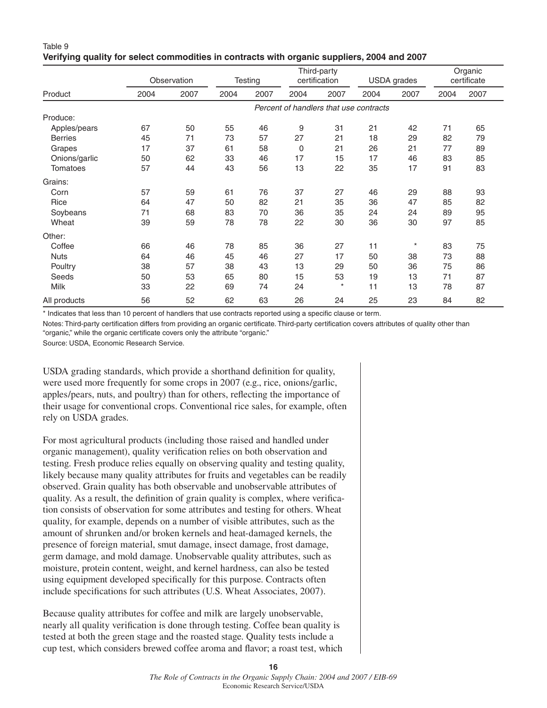|                 |      | Observation |                                        | Testing |             | Third-party<br>certification |      | USDA grades |      | Organic<br>certificate |
|-----------------|------|-------------|----------------------------------------|---------|-------------|------------------------------|------|-------------|------|------------------------|
| Product         | 2004 | 2007        | 2004                                   | 2007    | 2004        | 2007                         | 2004 | 2007        | 2004 | 2007                   |
|                 |      |             | Percent of handlers that use contracts |         |             |                              |      |             |      |                        |
| Produce:        |      |             |                                        |         |             |                              |      |             |      |                        |
| Apples/pears    | 67   | 50          | 55                                     | 46      | 9           | 31                           | 21   | 42          | 71   | 65                     |
| <b>Berries</b>  | 45   | 71          | 73                                     | 57      | 27          | 21                           | 18   | 29          | 82   | 79                     |
| Grapes          | 17   | 37          | 61                                     | 58      | $\mathbf 0$ | 21                           | 26   | 21          | 77   | 89                     |
| Onions/garlic   | 50   | 62          | 33                                     | 46      | 17          | 15                           | 17   | 46          | 83   | 85                     |
| <b>Tomatoes</b> | 57   | 44          | 43                                     | 56      | 13          | 22                           | 35   | 17          | 91   | 83                     |
| Grains:         |      |             |                                        |         |             |                              |      |             |      |                        |
| Corn            | 57   | 59          | 61                                     | 76      | 37          | 27                           | 46   | 29          | 88   | 93                     |
| Rice            | 64   | 47          | 50                                     | 82      | 21          | 35                           | 36   | 47          | 85   | 82                     |
| Soybeans        | 71   | 68          | 83                                     | 70      | 36          | 35                           | 24   | 24          | 89   | 95                     |
| Wheat           | 39   | 59          | 78                                     | 78      | 22          | 30                           | 36   | 30          | 97   | 85                     |
| Other:          |      |             |                                        |         |             |                              |      |             |      |                        |
| Coffee          | 66   | 46          | 78                                     | 85      | 36          | 27                           | 11   | $\star$     | 83   | 75                     |
| <b>Nuts</b>     | 64   | 46          | 45                                     | 46      | 27          | 17                           | 50   | 38          | 73   | 88                     |
| Poultry         | 38   | 57          | 38                                     | 43      | 13          | 29                           | 50   | 36          | 75   | 86                     |
| Seeds           | 50   | 53          | 65                                     | 80      | 15          | 53                           | 19   | 13          | 71   | 87                     |
| Milk            | 33   | 22          | 69                                     | 74      | 24          | $^\star$                     | 11   | 13          | 78   | 87                     |
| All products    | 56   | 52          | 62                                     | 63      | 26          | 24                           | 25   | 23          | 84   | 82                     |

Table 9 **Verifying quality for select commodities in contracts with organic suppliers, 2004 and 2007**

\* Indicates that less than 10 percent of handlers that use contracts reported using a specific clause or term.

Notes: Third-party certification differs from providing an organic certificate. Third-party certification covers attributes of quality other than "organic," while the organic certificate covers only the attribute "organic."

Source: USDA, Economic Research Service.

USDA grading standards, which provide a shorthand definition for quality, were used more frequently for some crops in 2007 (e.g., rice, onions/garlic, apples/pears, nuts, and poultry) than for others, reflecting the importance of their usage for conventional crops. Conventional rice sales, for example, often rely on USDA grades.

For most agricultural products (including those raised and handled under organic management), quality verification relies on both observation and testing. Fresh produce relies equally on observing quality and testing quality, likely because many quality attributes for fruits and vegetables can be readily observed. Grain quality has both observable and unobservable attributes of quality. As a result, the definition of grain quality is complex, where verification consists of observation for some attributes and testing for others. Wheat quality, for example, depends on a number of visible attributes, such as the amount of shrunken and/or broken kernels and heat-damaged kernels, the presence of foreign material, smut damage, insect damage, frost damage, germ damage, and mold damage. Unobservable quality attributes, such as moisture, protein content, weight, and kernel hardness, can also be tested using equipment developed specifically for this purpose. Contracts often include specifications for such attributes (U.S. Wheat Associates, 2007).

Because quality attributes for coffee and milk are largely unobservable, nearly all quality verification is done through testing. Coffee bean quality is tested at both the green stage and the roasted stage. Quality tests include a cup test, which considers brewed coffee aroma and flavor; a roast test, which

**16**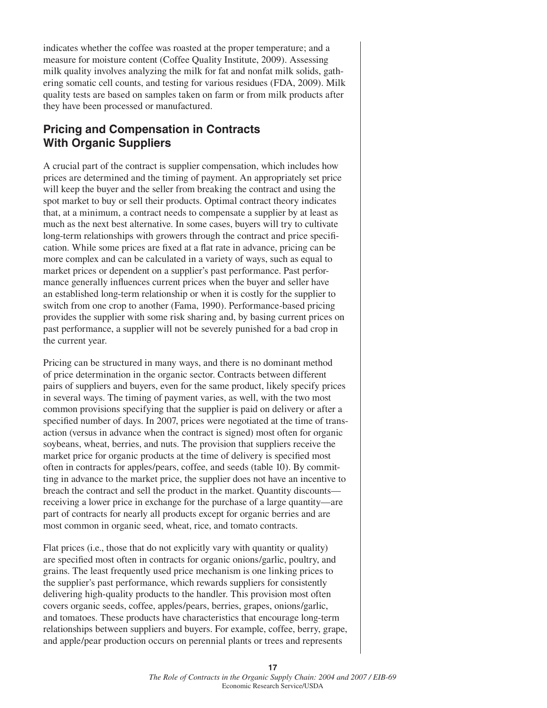indicates whether the coffee was roasted at the proper temperature; and a measure for moisture content (Coffee Quality Institute, 2009). Assessing milk quality involves analyzing the milk for fat and nonfat milk solids, gathering somatic cell counts, and testing for various residues (FDA, 2009). Milk quality tests are based on samples taken on farm or from milk products after they have been processed or manufactured.

## **Pricing and Compensation in Contracts With Organic Suppliers**

A crucial part of the contract is supplier compensation, which includes how prices are determined and the timing of payment. An appropriately set price will keep the buyer and the seller from breaking the contract and using the spot market to buy or sell their products. Optimal contract theory indicates that, at a minimum, a contract needs to compensate a supplier by at least as much as the next best alternative. In some cases, buyers will try to cultivate long-term relationships with growers through the contract and price specification. While some prices are fixed at a flat rate in advance, pricing can be more complex and can be calculated in a variety of ways, such as equal to market prices or dependent on a supplier's past performance. Past performance generally influences current prices when the buyer and seller have an established long-term relationship or when it is costly for the supplier to switch from one crop to another (Fama, 1990). Performance-based pricing provides the supplier with some risk sharing and, by basing current prices on past performance, a supplier will not be severely punished for a bad crop in the current year.

Pricing can be structured in many ways, and there is no dominant method of price determination in the organic sector. Contracts between different pairs of suppliers and buyers, even for the same product, likely specify prices in several ways. The timing of payment varies, as well, with the two most common provisions specifying that the supplier is paid on delivery or after a specified number of days. In 2007, prices were negotiated at the time of transaction (versus in advance when the contract is signed) most often for organic soybeans, wheat, berries, and nuts. The provision that suppliers receive the market price for organic products at the time of delivery is specified most often in contracts for apples/pears, coffee, and seeds (table 10). By committing in advance to the market price, the supplier does not have an incentive to breach the contract and sell the product in the market. Quantity discounts receiving a lower price in exchange for the purchase of a large quantity—are part of contracts for nearly all products except for organic berries and are most common in organic seed, wheat, rice, and tomato contracts.

Flat prices (i.e., those that do not explicitly vary with quantity or quality) are specified most often in contracts for organic onions/garlic, poultry, and grains. The least frequently used price mechanism is one linking prices to the supplier's past performance, which rewards suppliers for consistently delivering high-quality products to the handler. This provision most often covers organic seeds, coffee, apples/pears, berries, grapes, onions/garlic, and tomatoes. These products have characteristics that encourage long-term relationships between suppliers and buyers. For example, coffee, berry, grape, and apple/pear production occurs on perennial plants or trees and represents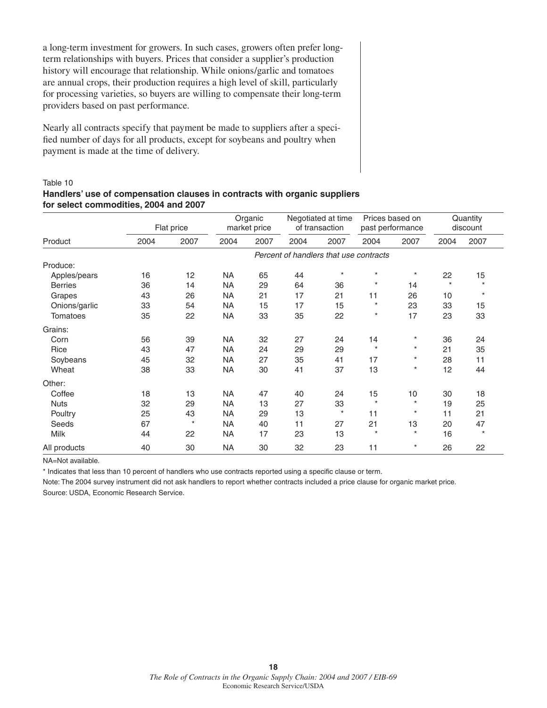a long-term investment for growers. In such cases, growers often prefer longterm relationships with buyers. Prices that consider a supplier's production history will encourage that relationship. While onions/garlic and tomatoes are annual crops, their production requires a high level of skill, particularly for processing varieties, so buyers are willing to compensate their long-term providers based on past performance.

Nearly all contracts specify that payment be made to suppliers after a specified number of days for all products, except for soybeans and poultry when payment is made at the time of delivery.

#### Table 10

#### **Handlers' use of compensation clauses in contracts with organic suppliers for select commodities, 2004 and 2007**

|                 |      |          | Flat price                             | Organic<br>market price |      |         |          | Negotiated at time<br>of transaction |         |         | Prices based on<br>past performance |  | Quantity<br>discount |
|-----------------|------|----------|----------------------------------------|-------------------------|------|---------|----------|--------------------------------------|---------|---------|-------------------------------------|--|----------------------|
| Product         | 2004 | 2007     | 2004                                   | 2007                    | 2004 | 2007    | 2004     | 2007                                 | 2004    | 2007    |                                     |  |                      |
|                 |      |          | Percent of handlers that use contracts |                         |      |         |          |                                      |         |         |                                     |  |                      |
| Produce:        |      |          |                                        |                         |      |         |          |                                      |         |         |                                     |  |                      |
| Apples/pears    | 16   | 12       | <b>NA</b>                              | 65                      | 44   | $\star$ | $\star$  | $\star$                              | 22      | 15      |                                     |  |                      |
| <b>Berries</b>  | 36   | 14       | <b>NA</b>                              | 29                      | 64   | 36      | $^\star$ | 14                                   | $\star$ | $\star$ |                                     |  |                      |
| Grapes          | 43   | 26       | <b>NA</b>                              | 21                      | 17   | 21      | 11       | 26                                   | 10      | $\star$ |                                     |  |                      |
| Onions/garlic   | 33   | 54       | <b>NA</b>                              | 15                      | 17   | 15      | $^\star$ | 23                                   | 33      | 15      |                                     |  |                      |
| <b>Tomatoes</b> | 35   | 22       | <b>NA</b>                              | 33                      | 35   | 22      | $\star$  | 17                                   | 23      | 33      |                                     |  |                      |
| Grains:         |      |          |                                        |                         |      |         |          |                                      |         |         |                                     |  |                      |
| Corn            | 56   | 39       | NA                                     | 32                      | 27   | 24      | 14       | $\star$                              | 36      | 24      |                                     |  |                      |
| Rice            | 43   | 47       | NA                                     | 24                      | 29   | 29      | $\star$  | $\star$                              | 21      | 35      |                                     |  |                      |
| Soybeans        | 45   | 32       | <b>NA</b>                              | 27                      | 35   | 41      | 17       | $\star$                              | 28      | 11      |                                     |  |                      |
| Wheat           | 38   | 33       | <b>NA</b>                              | 30                      | 41   | 37      | 13       | $\star$                              | 12      | 44      |                                     |  |                      |
| Other:          |      |          |                                        |                         |      |         |          |                                      |         |         |                                     |  |                      |
| Coffee          | 18   | 13       | <b>NA</b>                              | 47                      | 40   | 24      | 15       | 10                                   | 30      | 18      |                                     |  |                      |
| <b>Nuts</b>     | 32   | 29       | <b>NA</b>                              | 13                      | 27   | 33      | $\star$  | $\star$                              | 19      | 25      |                                     |  |                      |
| Poultry         | 25   | 43       | NA                                     | 29                      | 13   | $^\ast$ | 11       | $\star$                              | 11      | 21      |                                     |  |                      |
| Seeds           | 67   | $^\star$ | NA                                     | 40                      | 11   | 27      | 21       | 13                                   | 20      | 47      |                                     |  |                      |
| <b>Milk</b>     | 44   | 22       | NA                                     | 17                      | 23   | 13      | $\star$  | $\star$                              | 16      | $\star$ |                                     |  |                      |
| All products    | 40   | 30       | <b>NA</b>                              | 30                      | 32   | 23      | 11       | $\star$                              | 26      | 22      |                                     |  |                      |

NA=Not available.

\* Indicates that less than 10 percent of handlers who use contracts reported using a specific clause or term.

Note: The 2004 survey instrument did not ask handlers to report whether contracts included a price clause for organic market price. Source: USDA, Economic Research Service.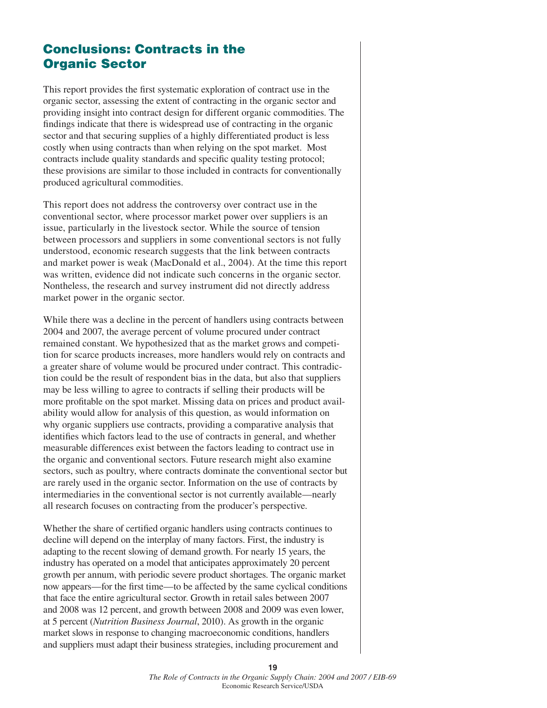# **Conclusions: Contracts in the Organic Sector**

This report provides the first systematic exploration of contract use in the organic sector, assessing the extent of contracting in the organic sector and providing insight into contract design for different organic commodities. The findings indicate that there is widespread use of contracting in the organic sector and that securing supplies of a highly differentiated product is less costly when using contracts than when relying on the spot market. Most contracts include quality standards and specific quality testing protocol; these provisions are similar to those included in contracts for conventionally produced agricultural commodities.

This report does not address the controversy over contract use in the conventional sector, where processor market power over suppliers is an issue, particularly in the livestock sector. While the source of tension between processors and suppliers in some conventional sectors is not fully understood, economic research suggests that the link between contracts and market power is weak (MacDonald et al., 2004). At the time this report was written, evidence did not indicate such concerns in the organic sector. Nontheless, the research and survey instrument did not directly address market power in the organic sector.

While there was a decline in the percent of handlers using contracts between 2004 and 2007, the average percent of volume procured under contract remained constant. We hypothesized that as the market grows and competition for scarce products increases, more handlers would rely on contracts and a greater share of volume would be procured under contract. This contradiction could be the result of respondent bias in the data, but also that suppliers may be less willing to agree to contracts if selling their products will be more profitable on the spot market. Missing data on prices and product availability would allow for analysis of this question, as would information on why organic suppliers use contracts, providing a comparative analysis that identifies which factors lead to the use of contracts in general, and whether measurable differences exist between the factors leading to contract use in the organic and conventional sectors. Future research might also examine sectors, such as poultry, where contracts dominate the conventional sector but are rarely used in the organic sector. Information on the use of contracts by intermediaries in the conventional sector is not currently available—nearly all research focuses on contracting from the producer's perspective.

Whether the share of certified organic handlers using contracts continues to decline will depend on the interplay of many factors. First, the industry is adapting to the recent slowing of demand growth. For nearly 15 years, the industry has operated on a model that anticipates approximately 20 percent growth per annum, with periodic severe product shortages. The organic market now appears—for the first time—to be affected by the same cyclical conditions that face the entire agricultural sector. Growth in retail sales between 2007 and 2008 was 12 percent, and growth between 2008 and 2009 was even lower, at 5 percent (*Nutrition Business Journal*, 2010). As growth in the organic market slows in response to changing macroeconomic conditions, handlers and suppliers must adapt their business strategies, including procurement and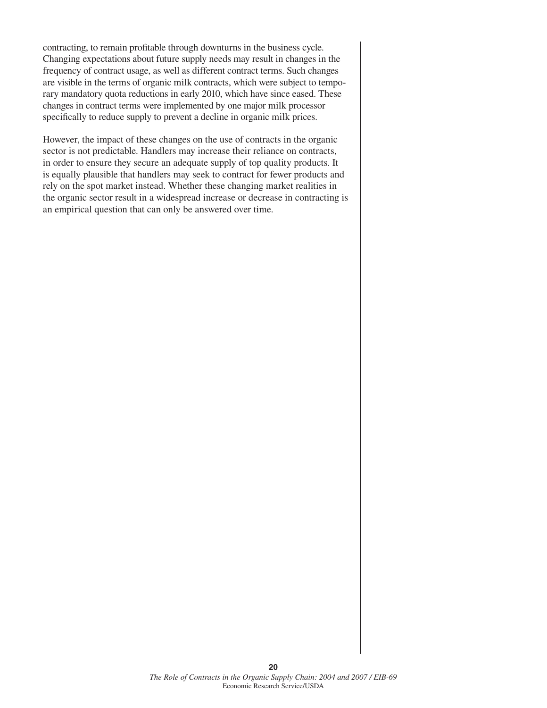contracting, to remain profitable through downturns in the business cycle. Changing expectations about future supply needs may result in changes in the frequency of contract usage, as well as different contract terms. Such changes are visible in the terms of organic milk contracts, which were subject to temporary mandatory quota reductions in early 2010, which have since eased. These changes in contract terms were implemented by one major milk processor specifically to reduce supply to prevent a decline in organic milk prices.

However, the impact of these changes on the use of contracts in the organic sector is not predictable. Handlers may increase their reliance on contracts, in order to ensure they secure an adequate supply of top quality products. It is equally plausible that handlers may seek to contract for fewer products and rely on the spot market instead. Whether these changing market realities in the organic sector result in a widespread increase or decrease in contracting is an empirical question that can only be answered over time.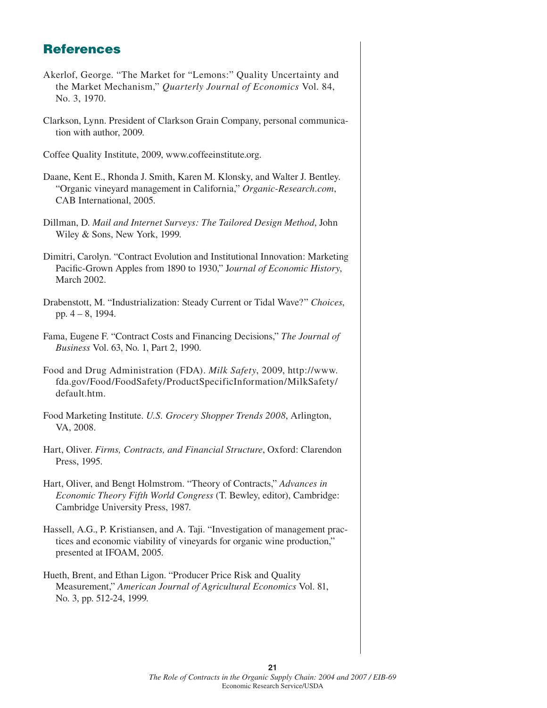# **References**

- Akerlof, George. "The Market for "Lemons:" Quality Uncertainty and the Market Mechanism," *Quarterly Journal of Economics* Vol. 84, No. 3, 1970.
- Clarkson, Lynn. President of Clarkson Grain Company, personal communication with author, 2009.

Coffee Quality Institute, 2009, www.coffeeinstitute.org.

- Daane, Kent E., Rhonda J. Smith, Karen M. Klonsky, and Walter J. Bentley. "Organic vineyard management in California," *Organic-Research.com*, CAB International, 2005.
- Dillman, D. *Mail and Internet Surveys: The Tailored Design Method*, John Wiley & Sons, New York, 1999.
- Dimitri, Carolyn. "Contract Evolution and Institutional Innovation: Marketing Pacific-Grown Apples from 1890 to 1930," Journal of Economic History, March 2002.
- Drabenstott, M. "Industrialization: Steady Current or Tidal Wave?" *Choices*, pp. 4 – 8, 1994.
- Fama, Eugene F. "Contract Costs and Financing Decisions," *The Journal of Business* Vol. 63, No. 1, Part 2, 1990.
- Food and Drug Administration (FDA). *Milk Safety*, 2009, http://www. fda.gov/Food/FoodSafety/ProductSpecificInformation/MilkSafety/ default.htm.
- Food Marketing Institute. *U.S. Grocery Shopper Trends 2008*, Arlington, VA, 2008.
- Hart, Oliver. *Firms, Contracts, and Financial Structure*, Oxford: Clarendon Press, 1995.
- Hart, Oliver, and Bengt Holmstrom. "Theory of Contracts," *Advances in Economic Theory Fifth World Congress* (T. Bewley, editor), Cambridge: Cambridge University Press, 1987.
- Hassell, A.G., P. Kristiansen, and A. Taji. "Investigation of management practices and economic viability of vineyards for organic wine production," presented at IFOAM, 2005.
- Hueth, Brent, and Ethan Ligon. "Producer Price Risk and Quality Measurement," *American Journal of Agricultural Economics* Vol. 81, No. 3, pp. 512-24, 1999.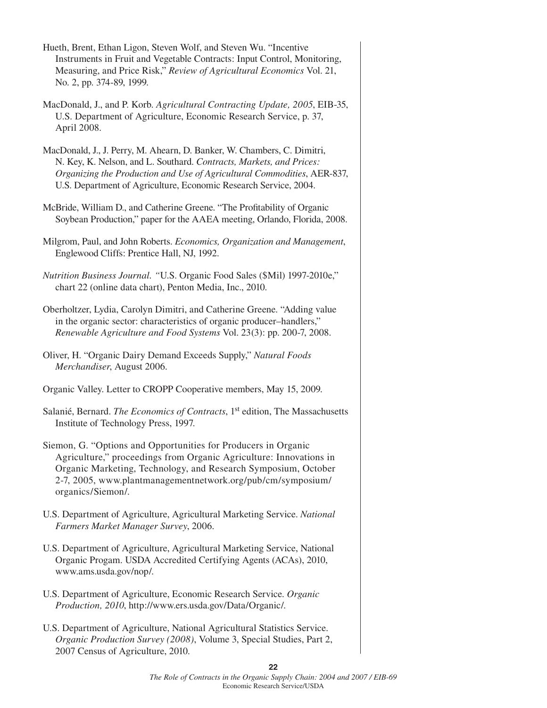| Hueth, Brent, Ethan Ligon, Steven Wolf, and Steven Wu. "Incentive<br>Instruments in Fruit and Vegetable Contracts: Input Control, Monitoring,<br>Measuring, and Price Risk," Review of Agricultural Economics Vol. 21,<br>No. 2, pp. 374-89, 1999.                                            |
|-----------------------------------------------------------------------------------------------------------------------------------------------------------------------------------------------------------------------------------------------------------------------------------------------|
| MacDonald, J., and P. Korb. Agricultural Contracting Update, 2005, EIB-35,<br>U.S. Department of Agriculture, Economic Research Service, p. 37,<br>April 2008.                                                                                                                                |
| MacDonald, J., J. Perry, M. Ahearn, D. Banker, W. Chambers, C. Dimitri,<br>N. Key, K. Nelson, and L. Southard. Contracts, Markets, and Prices:<br>Organizing the Production and Use of Agricultural Commodities, AER-837,<br>U.S. Department of Agriculture, Economic Research Service, 2004. |
| McBride, William D., and Catherine Greene. "The Profitability of Organic<br>Soybean Production," paper for the AAEA meeting, Orlando, Florida, 2008.                                                                                                                                          |
| Milgrom, Paul, and John Roberts. Economics, Organization and Management,<br>Englewood Cliffs: Prentice Hall, NJ, 1992.                                                                                                                                                                        |
| Nutrition Business Journal. "U.S. Organic Food Sales (\$Mil) 1997-2010e,"<br>chart 22 (online data chart), Penton Media, Inc., 2010.                                                                                                                                                          |
| Oberholtzer, Lydia, Carolyn Dimitri, and Catherine Greene. "Adding value<br>in the organic sector: characteristics of organic producer-handlers,"<br>Renewable Agriculture and Food Systems Vol. 23(3): pp. 200-7, 2008.                                                                      |
| Oliver, H. "Organic Dairy Demand Exceeds Supply," Natural Foods<br>Merchandiser, August 2006.                                                                                                                                                                                                 |
| Organic Valley. Letter to CROPP Cooperative members, May 15, 2009.                                                                                                                                                                                                                            |
| Salanié, Bernard. The Economics of Contracts, 1st edition, The Massachusetts<br>Institute of Technology Press, 1997.                                                                                                                                                                          |
| Siemon, G. "Options and Opportunities for Producers in Organic<br>Agriculture," proceedings from Organic Agriculture: Innovations in<br>Organic Marketing, Technology, and Research Symposium, October<br>2-7, 2005, www.plantmanagementnetwork.org/pub/cm/symposium/<br>organics/Siemon/.    |
| U.S. Department of Agriculture, Agricultural Marketing Service. National<br>Farmers Market Manager Survey, 2006.                                                                                                                                                                              |
|                                                                                                                                                                                                                                                                                               |
| U.S. Department of Agriculture, Agricultural Marketing Service, National<br>Organic Progam. USDA Accredited Certifying Agents (ACAs), 2010,<br>www.ams.usda.gov/nop/.                                                                                                                         |
| U.S. Department of Agriculture, Economic Research Service. Organic<br>Production, 2010, http://www.ers.usda.gov/Data/Organic/.                                                                                                                                                                |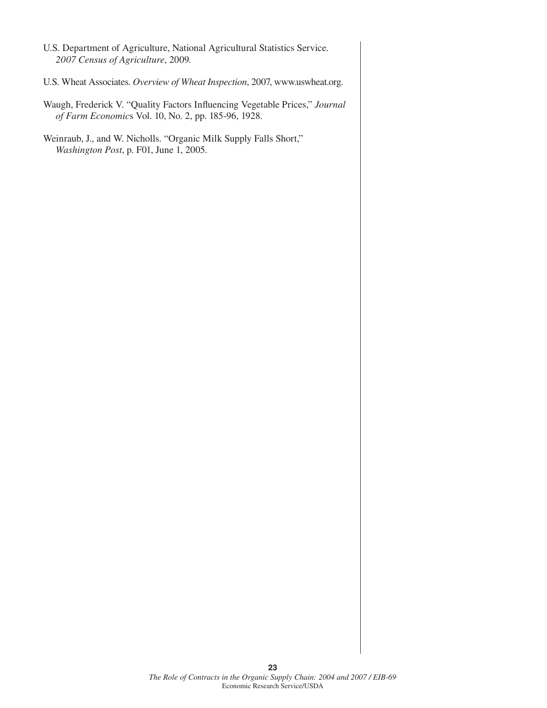U.S. Department of Agriculture, National Agricultural Statistics Service. *2007 Census of Agriculture*, 2009. U.S. Wheat Associates. *Overview of Wheat Inspection*, 2007, www.uswheat.org. Waugh, Frederick V. "Quality Factors Influencing Vegetable Prices," Journal *of Farm Economic*s Vol. 10, No. 2, pp. 185-96, 1928. Weinraub, J., and W. Nicholls. "Organic Milk Supply Falls Short," *Washington Post*, p. F01, June 1, 2005.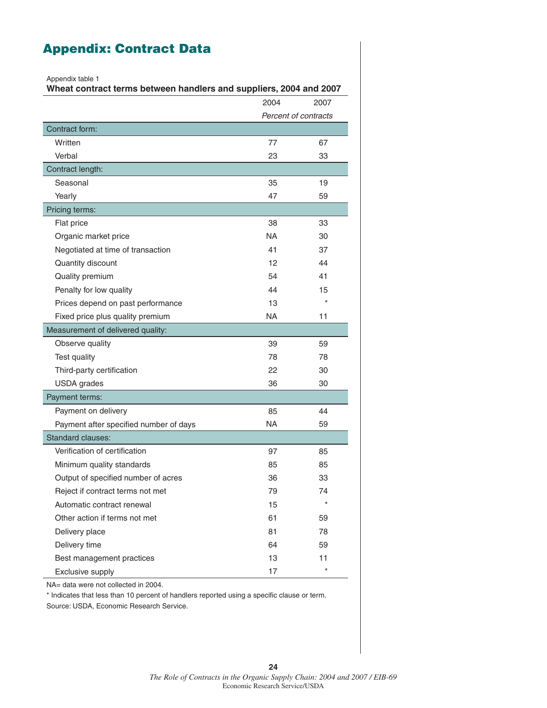# **Appendix: Contract Data**

Appendix table 1

**Wheat contract terms between handlers and suppliers, 2004 and 2007**

|                                        | 2004                 | 2007    |
|----------------------------------------|----------------------|---------|
|                                        | Percent of contracts |         |
| Contract form:                         |                      |         |
| Written                                | 77                   | 67      |
| Verbal                                 | 23                   | 33      |
| Contract length:                       |                      |         |
| Seasonal                               | 35                   | 19      |
| Yearly                                 | 47                   | 59      |
| Pricing terms:                         |                      |         |
| Flat price                             | 38                   | 33      |
| Organic market price                   | <b>NA</b>            | 30      |
| Negotiated at time of transaction      | 41                   | 37      |
| Quantity discount                      | 12                   | 44      |
| Quality premium                        | 54                   | 41      |
| Penalty for low quality                | 44                   | 15      |
| Prices depend on past performance      | 13                   | $\star$ |
| Fixed price plus quality premium       | NA                   | 11      |
| Measurement of delivered quality:      |                      |         |
| Observe quality                        | 39                   | 59      |
| Test quality                           | 78                   | 78      |
| Third-party certification              | 22                   | 30      |
| <b>USDA</b> grades                     | 36                   | 30      |
| Payment terms:                         |                      |         |
| Payment on delivery                    | 85                   | 44      |
| Payment after specified number of days | <b>NA</b>            | 59      |
| Standard clauses:                      |                      |         |
| Verification of certification          | 97                   | 85      |
| Minimum quality standards              | 85                   | 85      |
| Output of specified number of acres    | 36                   | 33      |
| Reject if contract terms not met       | 79                   | 74      |
| Automatic contract renewal             | 15                   | $\star$ |
| Other action if terms not met          | 61                   | 59      |
| Delivery place                         | 81                   | 78      |
| Delivery time                          | 64                   | 59      |
| Best management practices              | 13                   | 11      |
| <b>Exclusive supply</b>                | 17                   | $\star$ |

NA= data were not collected in 2004.

\* Indicates that less than 10 percent of handlers reported using a specific clause or term. Source: USDA, Economic Research Service.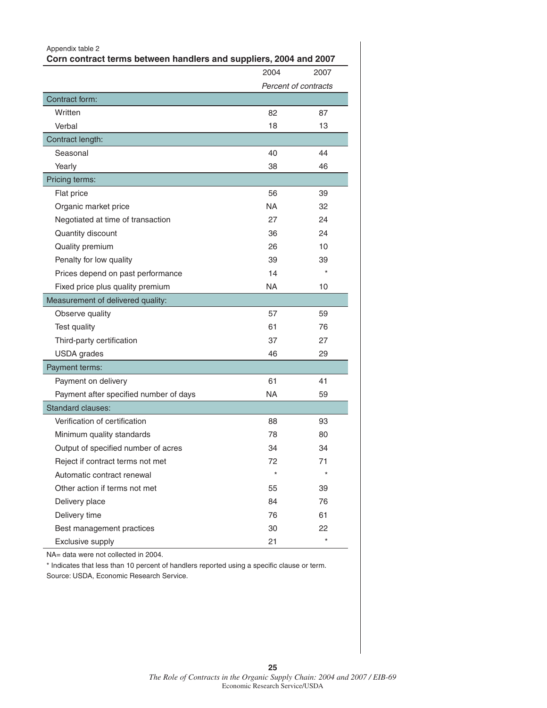| Appendix table 2<br>Corn contract terms between handlers and suppliers, 2004 and 2007 |           |                      |
|---------------------------------------------------------------------------------------|-----------|----------------------|
|                                                                                       | 2004      | 2007                 |
|                                                                                       |           | Percent of contracts |
| Contract form:                                                                        |           |                      |
| Written                                                                               | 82        | 87                   |
| Verbal                                                                                | 18        | 13                   |
| Contract length:                                                                      |           |                      |
| Seasonal                                                                              | 40        | 44                   |
| Yearly                                                                                | 38        | 46                   |
| Pricing terms:                                                                        |           |                      |
| Flat price                                                                            | 56        | 39                   |
| Organic market price                                                                  | NA.       | 32                   |
| Negotiated at time of transaction                                                     | 27        | 24                   |
| Quantity discount                                                                     | 36        | 24                   |
| Quality premium                                                                       | 26        | 10                   |
| Penalty for low quality                                                               | 39        | 39                   |
| Prices depend on past performance                                                     | 14        | $\star$              |
| Fixed price plus quality premium                                                      | NA.       | 10                   |
| Measurement of delivered quality:                                                     |           |                      |
| Observe quality                                                                       | 57        | 59                   |
| Test quality                                                                          | 61        | 76                   |
| Third-party certification                                                             | 37        | 27                   |
| <b>USDA</b> grades                                                                    | 46        | 29                   |
| Payment terms:                                                                        |           |                      |
| Payment on delivery                                                                   | 61        | 41                   |
| Payment after specified number of days                                                | <b>NA</b> | 59                   |
| <b>Standard clauses:</b>                                                              |           |                      |
| Verification of certification                                                         | 88        | 93                   |
| Minimum quality standards                                                             | 78        | 80                   |
| Output of specified number of acres                                                   | 34        | 34                   |
| Reject if contract terms not met                                                      | 72        | 71                   |
| Automatic contract renewal                                                            |           | $\star$              |
| Other action if terms not met                                                         | 55        | 39                   |
| Delivery place                                                                        | 84        | 76                   |
| Delivery time                                                                         | 76        | 61                   |
| Best management practices                                                             | 30        | 22                   |
| Exclusive supply                                                                      | 21        | $\star$              |

\* Indicates that less than 10 percent of handlers reported using a specific clause or term. Source: USDA, Economic Research Service.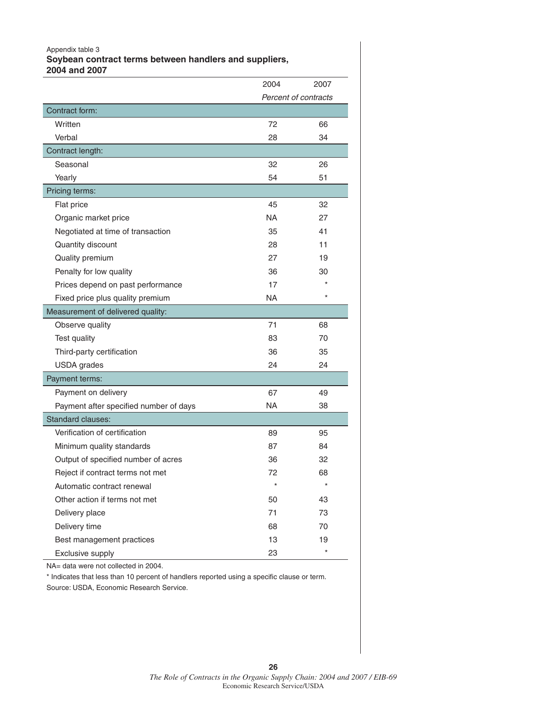#### Appendix table 3 **Soybean contract terms between handlers and suppliers, 2004 and 2007**

|                                        | 2004                 | 2007    |
|----------------------------------------|----------------------|---------|
|                                        | Percent of contracts |         |
| Contract form:                         |                      |         |
| Written                                | 72                   | 66      |
| Verbal                                 | 28                   | 34      |
| Contract length:                       |                      |         |
| Seasonal                               | 32                   | 26      |
| Yearly                                 | 54                   | 51      |
| Pricing terms:                         |                      |         |
| Flat price                             | 45                   | 32      |
| Organic market price                   | <b>NA</b>            | 27      |
| Negotiated at time of transaction      | 35                   | 41      |
| Quantity discount                      | 28                   | 11      |
| Quality premium                        | 27                   | 19      |
| Penalty for low quality                | 36                   | 30      |
| Prices depend on past performance      | 17                   |         |
| Fixed price plus quality premium       | NA                   | $\star$ |
| Measurement of delivered quality:      |                      |         |
| Observe quality                        | 71                   | 68      |
| Test quality                           | 83                   | 70      |
| Third-party certification              | 36                   | 35      |
| <b>USDA</b> grades                     | 24                   | 24      |
| Payment terms:                         |                      |         |
| Payment on delivery                    | 67                   | 49      |
| Payment after specified number of days | NA                   | 38      |
| Standard clauses:                      |                      |         |
| Verification of certification          | 89                   | 95      |
| Minimum quality standards              | 87                   | 84      |
| Output of specified number of acres    | 36                   | 32      |
| Reject if contract terms not met       | 72                   | 68      |
| Automatic contract renewal             | $\star$              | $\star$ |
| Other action if terms not met          | 50                   | 43      |
| Delivery place                         | 71                   | 73      |
| Delivery time                          | 68                   | 70      |
| Best management practices              | 13                   | 19      |
| Exclusive supply                       | 23                   | $\star$ |

NA= data were not collected in 2004.

\* Indicates that less than 10 percent of handlers reported using a specific clause or term.

Source: USDA, Economic Research Service.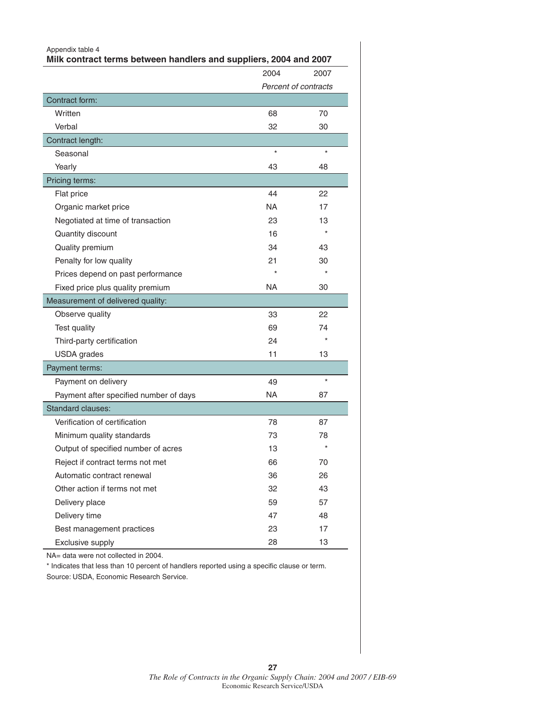| Appendix table 4<br>Milk contract terms between handlers and suppliers, 2004 and 2007 |         |                      |
|---------------------------------------------------------------------------------------|---------|----------------------|
|                                                                                       | 2004    | 2007                 |
|                                                                                       |         | Percent of contracts |
| Contract form:                                                                        |         |                      |
| Written                                                                               | 68      | 70                   |
| Verbal                                                                                | 32      | 30                   |
| Contract length:                                                                      |         |                      |
| Seasonal                                                                              | $\star$ | $\star$              |
| Yearly                                                                                | 43      | 48                   |
| Pricing terms:                                                                        |         |                      |
| Flat price                                                                            | 44      | 22                   |
| Organic market price                                                                  | NA      | 17                   |
| Negotiated at time of transaction                                                     | 23      | 13                   |
| Quantity discount                                                                     | 16      |                      |
| Quality premium                                                                       | 34      | 43                   |
| Penalty for low quality                                                               | 21      | 30                   |
| Prices depend on past performance                                                     |         |                      |
| Fixed price plus quality premium                                                      | NA.     | 30                   |
| Measurement of delivered quality:                                                     |         |                      |
| Observe quality                                                                       | 33      | 22                   |
| Test quality                                                                          | 69      | 74                   |
| Third-party certification                                                             | 24      | $\star$              |
| <b>USDA</b> grades                                                                    | 11      | 13                   |
| Payment terms:                                                                        |         |                      |
| Payment on delivery                                                                   | 49      | $\star$              |
| Payment after specified number of days                                                | NA      | 87                   |
| <b>Standard clauses:</b>                                                              |         |                      |
| Verification of certification                                                         | 78      | 87                   |
| Minimum quality standards                                                             | 73      | 78                   |
| Output of specified number of acres                                                   | 13      | $^{\star}$           |
| Reject if contract terms not met                                                      | 66      | 70                   |
| Automatic contract renewal                                                            | 36      | 26                   |
| Other action if terms not met                                                         | 32      | 43                   |
| Delivery place                                                                        | 59      | 57                   |
| Delivery time                                                                         | 47      | 48                   |
| Best management practices                                                             | 23      | 17                   |
| Exclusive supply                                                                      | 28      | 13                   |

\* Indicates that less than 10 percent of handlers reported using a specific clause or term. Source: USDA, Economic Research Service.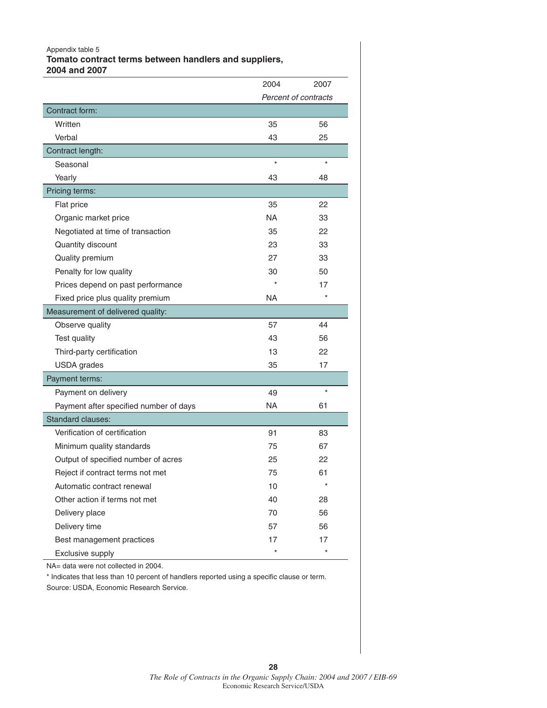#### Appendix table 5

**Tomato contract terms between handlers and suppliers, 2004 and 2007**

|                                        | 2004      | 2007                 |
|----------------------------------------|-----------|----------------------|
|                                        |           | Percent of contracts |
| Contract form:                         |           |                      |
| Written                                | 35        | 56                   |
| Verbal                                 | 43        | 25                   |
| Contract length:                       |           |                      |
| Seasonal                               | $\star$   | $\star$              |
| Yearly                                 | 43        | 48                   |
| Pricing terms:                         |           |                      |
| Flat price                             | 35        | 22                   |
| Organic market price                   | <b>NA</b> | 33                   |
| Negotiated at time of transaction      | 35        | 22                   |
| Quantity discount                      | 23        | 33                   |
| Quality premium                        | 27        | 33                   |
| Penalty for low quality                | 30        | 50                   |
| Prices depend on past performance      |           | 17                   |
| Fixed price plus quality premium       | NA        | $\star$              |
| Measurement of delivered quality:      |           |                      |
| Observe quality                        | 57        | 44                   |
| Test quality                           | 43        | 56                   |
| Third-party certification              | 13        | 22                   |
| <b>USDA</b> grades                     | 35        | 17                   |
| Payment terms:                         |           |                      |
| Payment on delivery                    | 49        | $\star$              |
| Payment after specified number of days | NA        | 61                   |
| <b>Standard clauses:</b>               |           |                      |
| Verification of certification          | 91        | 83                   |
| Minimum quality standards              | 75        | 67                   |
| Output of specified number of acres    | 25        | 22                   |
| Reject if contract terms not met       | 75        | 61                   |
| Automatic contract renewal             | 10        | $\star$              |
| Other action if terms not met          | 40        | 28                   |
| Delivery place                         | 70        | 56                   |
| Delivery time                          | 57        | 56                   |
| Best management practices              | 17        | 17                   |
| Exclusive supply                       | $\star$   | $\star$              |

NA= data were not collected in 2004.

\* Indicates that less than 10 percent of handlers reported using a specific clause or term.

Source: USDA, Economic Research Service.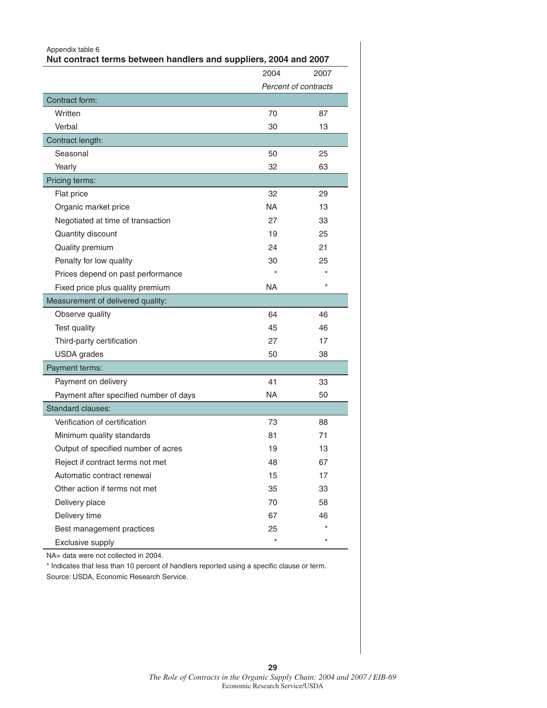| Appendix table 6<br>Nut contract terms between handlers and suppliers, 2004 and 2007 |           |                      |
|--------------------------------------------------------------------------------------|-----------|----------------------|
|                                                                                      | 2004      | 2007                 |
|                                                                                      |           | Percent of contracts |
| Contract form:                                                                       |           |                      |
| Written                                                                              | 70        | 87                   |
| Verbal                                                                               | 30        | 13                   |
| Contract length:                                                                     |           |                      |
| Seasonal                                                                             | 50        | 25                   |
| Yearly                                                                               | 32        | 63                   |
| Pricing terms:                                                                       |           |                      |
| Flat price                                                                           | 32        | 29                   |
| Organic market price                                                                 | NA        | 13                   |
| Negotiated at time of transaction                                                    | 27        | 33                   |
| Quantity discount                                                                    | 19        | 25                   |
| Quality premium                                                                      | 24        | 21                   |
| Penalty for low quality                                                              | 30        | 25                   |
| Prices depend on past performance                                                    |           |                      |
| Fixed price plus quality premium                                                     | NA.       | $\star$              |
| Measurement of delivered quality:                                                    |           |                      |
| Observe quality                                                                      | 64        | 46                   |
| Test quality                                                                         | 45        | 46                   |
| Third-party certification                                                            | 27        | 17                   |
| <b>USDA</b> grades                                                                   | 50        | 38                   |
| Payment terms:                                                                       |           |                      |
| Payment on delivery                                                                  | 41        | 33                   |
| Payment after specified number of days                                               | <b>NA</b> | 50                   |
| <b>Standard clauses:</b>                                                             |           |                      |
| Verification of certification                                                        | 73        | 88                   |
| Minimum quality standards                                                            | 81        | 71                   |
| Output of specified number of acres                                                  | 19        | 13                   |
| Reject if contract terms not met                                                     | 48        | 67                   |
| Automatic contract renewal                                                           | 15        | 17                   |
| Other action if terms not met                                                        | 35        | 33                   |
| Delivery place                                                                       | 70        | 58                   |
| Delivery time                                                                        | 67        | 46                   |
| Best management practices                                                            | 25        |                      |
| Exclusive supply                                                                     |           |                      |

\* Indicates that less than 10 percent of handlers reported using a specific clause or term. Source: USDA, Economic Research Service.

**29**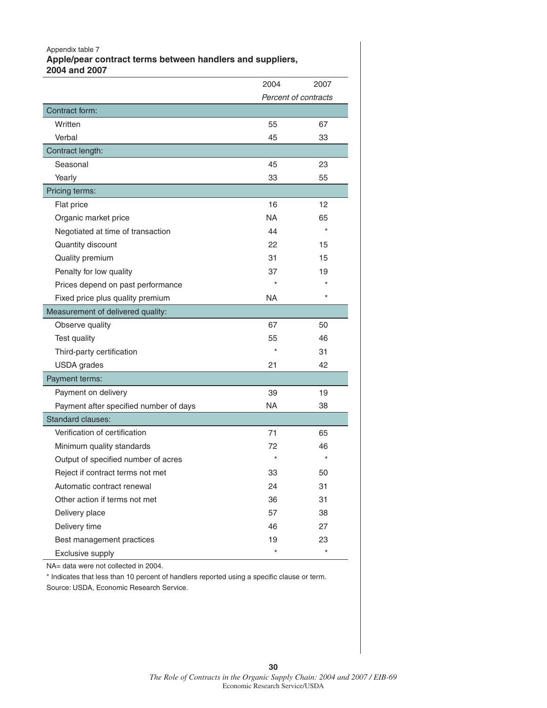Appendix table 7

**Apple/pear contract terms between handlers and suppliers, 2004 and 2007**

|                                        | 2004                 | 2007    |
|----------------------------------------|----------------------|---------|
|                                        | Percent of contracts |         |
| Contract form:                         |                      |         |
| Written                                | 55                   | 67      |
| Verbal                                 | 45                   | 33      |
| Contract length:                       |                      |         |
| Seasonal                               | 45                   | 23      |
| Yearly                                 | 33                   | 55      |
| Pricing terms:                         |                      |         |
| Flat price                             | 16                   | 12      |
| Organic market price                   | <b>NA</b>            | 65      |
| Negotiated at time of transaction      | 44                   | $\star$ |
| Quantity discount                      | 22                   | 15      |
| Quality premium                        | 31                   | 15      |
| Penalty for low quality                | 37                   | 19      |
| Prices depend on past performance      |                      |         |
| Fixed price plus quality premium       | NA.                  | $\star$ |
| Measurement of delivered quality:      |                      |         |
| Observe quality                        | 67                   | 50      |
| Test quality                           | 55                   | 46      |
| Third-party certification              | $\star$              | 31      |
| <b>USDA</b> grades                     | 21                   | 42      |
| Payment terms:                         |                      |         |
| Payment on delivery                    | 39                   | 19      |
| Payment after specified number of days | <b>NA</b>            | 38      |
| <b>Standard clauses:</b>               |                      |         |
| Verification of certification          | 71                   | 65      |
| Minimum quality standards              | 72                   | 46      |
| Output of specified number of acres    | $\star$              | $\star$ |
| Reject if contract terms not met       | 33                   | 50      |
| Automatic contract renewal             | 24                   | 31      |
| Other action if terms not met          | 36                   | 31      |
| Delivery place                         | 57                   | 38      |
| Delivery time                          | 46                   | 27      |
| Best management practices              | 19                   | 23      |
| Exclusive supply                       | $^\star$             | $\star$ |

NA= data were not collected in 2004.

\* Indicates that less than 10 percent of handlers reported using a specific clause or term.

Source: USDA, Economic Research Service.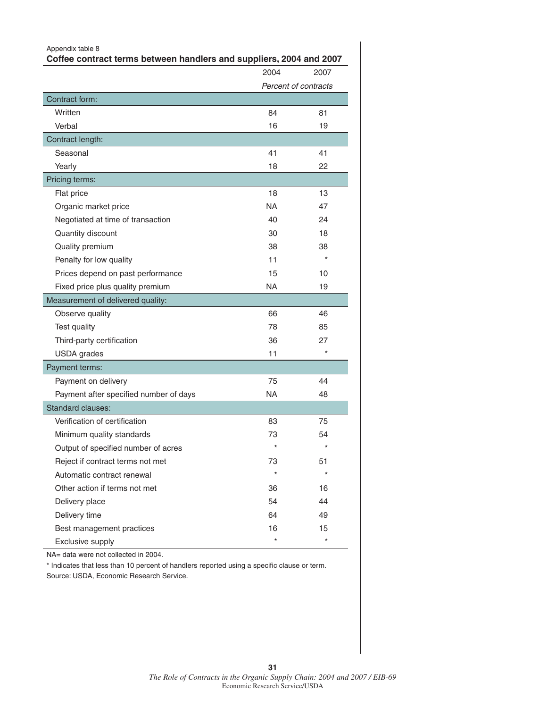| Appendix table 8<br>Coffee contract terms between handlers and suppliers, 2004 and 2007 |           |                      |
|-----------------------------------------------------------------------------------------|-----------|----------------------|
|                                                                                         | 2004      | 2007                 |
|                                                                                         |           | Percent of contracts |
| Contract form:                                                                          |           |                      |
| Written                                                                                 | 84        | 81                   |
| Verbal                                                                                  | 16        | 19                   |
| Contract length:                                                                        |           |                      |
| Seasonal                                                                                | 41        | 41                   |
| Yearly                                                                                  | 18        | 22                   |
| Pricing terms:                                                                          |           |                      |
| Flat price                                                                              | 18        | 13                   |
| Organic market price                                                                    | NA.       | 47                   |
| Negotiated at time of transaction                                                       | 40        | 24                   |
| Quantity discount                                                                       | 30        | 18                   |
| Quality premium                                                                         | 38        | 38                   |
| Penalty for low quality                                                                 | 11        |                      |
| Prices depend on past performance                                                       | 15        | 10                   |
| Fixed price plus quality premium                                                        | <b>NA</b> | 19                   |
| Measurement of delivered quality:                                                       |           |                      |
| Observe quality                                                                         | 66        | 46                   |
| Test quality                                                                            | 78        | 85                   |
| Third-party certification                                                               | 36        | 27                   |
| <b>USDA</b> grades                                                                      | 11        | $\star$              |
| Payment terms:                                                                          |           |                      |
| Payment on delivery                                                                     | 75        | 44                   |
| Payment after specified number of days                                                  | NA.       | 48                   |
| <b>Standard clauses:</b>                                                                |           |                      |
| Verification of certification                                                           | 83        | 75                   |
| Minimum quality standards                                                               | 73        | 54                   |
| Output of specified number of acres                                                     | $\star$   |                      |
| Reject if contract terms not met                                                        | 73        | 51                   |
| Automatic contract renewal                                                              | $\star$   | $\star$              |
| Other action if terms not met                                                           | 36        | 16                   |
| Delivery place                                                                          | 54        | 44                   |
| Delivery time                                                                           | 64        | 49                   |
| Best management practices                                                               | 16        | 15                   |
| Exclusive supply                                                                        | $\star$   | $\star$              |

\* Indicates that less than 10 percent of handlers reported using a specific clause or term. Source: USDA, Economic Research Service.

**31**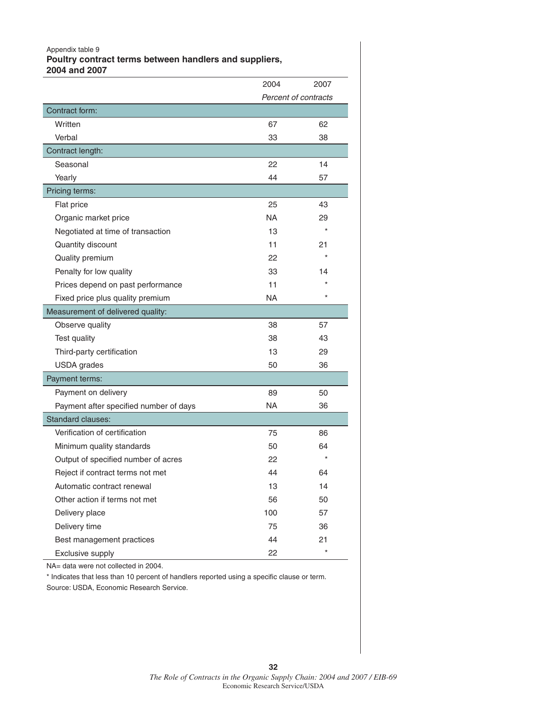#### Appendix table 9 **Poultry contract terms between handlers and suppliers, 2004 and 2007**

|                                        | 2004      | 2007                 |
|----------------------------------------|-----------|----------------------|
|                                        |           | Percent of contracts |
| Contract form:                         |           |                      |
| Written                                | 67        | 62                   |
| Verbal                                 | 33        | 38                   |
| Contract length:                       |           |                      |
| Seasonal                               | 22        | 14                   |
| Yearly                                 | 44        | 57                   |
| Pricing terms:                         |           |                      |
| Flat price                             | 25        | 43                   |
| Organic market price                   | <b>NA</b> | 29                   |
| Negotiated at time of transaction      | 13        |                      |
| Quantity discount                      | 11        | 21                   |
| Quality premium                        | 22        |                      |
| Penalty for low quality                | 33        | 14                   |
| Prices depend on past performance      | 11        |                      |
| Fixed price plus quality premium       | NA        | $\star$              |
| Measurement of delivered quality:      |           |                      |
| Observe quality                        | 38        | 57                   |
| Test quality                           | 38        | 43                   |
| Third-party certification              | 13        | 29                   |
| <b>USDA</b> grades                     | 50        | 36                   |
| Payment terms:                         |           |                      |
| Payment on delivery                    | 89        | 50                   |
| Payment after specified number of days | NA        | 36                   |
| Standard clauses:                      |           |                      |
| Verification of certification          | 75        | 86                   |
| Minimum quality standards              | 50        | 64                   |
| Output of specified number of acres    | 22        |                      |
| Reject if contract terms not met       | 44        | 64                   |
| Automatic contract renewal             | 13        | 14                   |
| Other action if terms not met          | 56        | 50                   |
| Delivery place                         | 100       | 57                   |
| Delivery time                          | 75        | 36                   |
| Best management practices              | 44        | 21                   |
| Exclusive supply                       | 22        | $\star$              |

NA= data were not collected in 2004.

\* Indicates that less than 10 percent of handlers reported using a specific clause or term.

Source: USDA, Economic Research Service.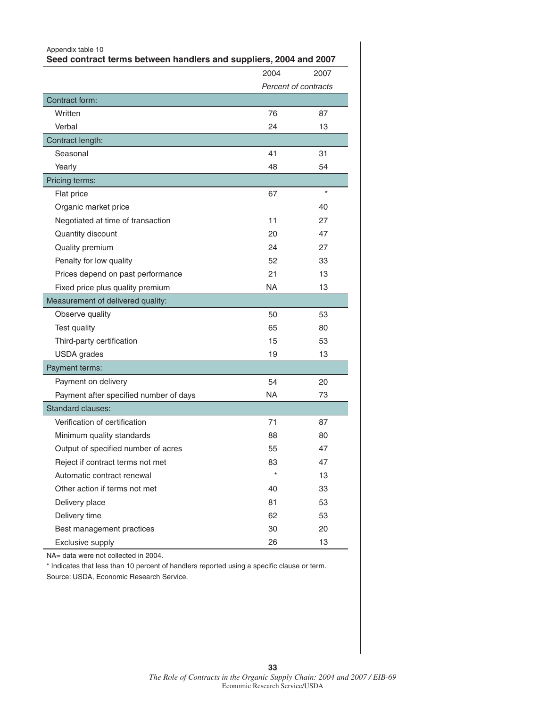| Appendix table 10<br>Seed contract terms between handlers and suppliers, 2004 and 2007 |      |                      |
|----------------------------------------------------------------------------------------|------|----------------------|
|                                                                                        | 2004 | 2007                 |
|                                                                                        |      | Percent of contracts |
| Contract form:                                                                         |      |                      |
| Written                                                                                | 76   | 87                   |
| Verbal                                                                                 | 24   | 13                   |
| Contract length:                                                                       |      |                      |
| Seasonal                                                                               | 41   | 31                   |
| Yearly                                                                                 | 48   | 54                   |
| Pricing terms:                                                                         |      |                      |
| Flat price                                                                             | 67   | $\star$              |
| Organic market price                                                                   |      | 40                   |
| Negotiated at time of transaction                                                      | 11   | 27                   |
| Quantity discount                                                                      | 20   | 47                   |
| Quality premium                                                                        | 24   | 27                   |
| Penalty for low quality                                                                | 52   | 33                   |
| Prices depend on past performance                                                      | 21   | 13                   |
| Fixed price plus quality premium                                                       | NA.  | 13                   |
| Measurement of delivered quality:                                                      |      |                      |
| Observe quality                                                                        | 50   | 53                   |
| Test quality                                                                           | 65   | 80                   |
| Third-party certification                                                              | 15   | 53                   |
| <b>USDA</b> grades                                                                     | 19   | 13                   |
| Payment terms:                                                                         |      |                      |
| Payment on delivery                                                                    | 54   | 20                   |
| Payment after specified number of days                                                 | NA.  | 73                   |
| <b>Standard clauses:</b>                                                               |      |                      |
| Verification of certification                                                          | 71   | 87                   |
| Minimum quality standards                                                              | 88   | 80                   |
| Output of specified number of acres                                                    | 55   | 47                   |
| Reject if contract terms not met                                                       | 83   | 47                   |
| Automatic contract renewal                                                             |      | 13                   |
| Other action if terms not met                                                          | 40   | 33                   |
| Delivery place                                                                         | 81   | 53                   |
| Delivery time                                                                          | 62   | 53                   |
| Best management practices                                                              | 30   | 20                   |
| Exclusive supply                                                                       | 26   | 13                   |

\* Indicates that less than 10 percent of handlers reported using a specific clause or term. Source: USDA, Economic Research Service.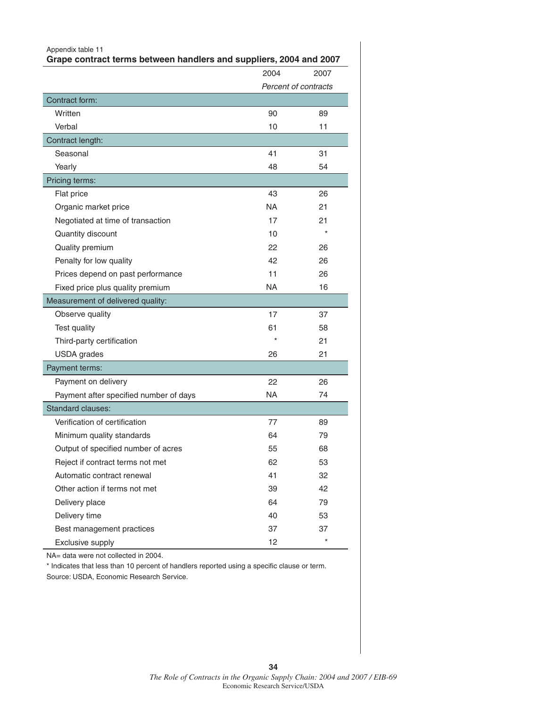| Appendix table 11<br>Grape contract terms between handlers and suppliers, 2004 and 2007 |           |                      |
|-----------------------------------------------------------------------------------------|-----------|----------------------|
|                                                                                         | 2004      | 2007                 |
|                                                                                         |           | Percent of contracts |
| Contract form:                                                                          |           |                      |
| Written                                                                                 | 90        | 89                   |
| Verbal                                                                                  | 10        | 11                   |
| Contract length:                                                                        |           |                      |
| Seasonal                                                                                | 41        | 31                   |
| Yearly                                                                                  | 48        | 54                   |
| Pricing terms:                                                                          |           |                      |
| Flat price                                                                              | 43        | 26                   |
| Organic market price                                                                    | NA.       | 21                   |
| Negotiated at time of transaction                                                       | 17        | 21                   |
| Quantity discount                                                                       | 10        |                      |
| Quality premium                                                                         | 22        | 26                   |
| Penalty for low quality                                                                 | 42        | 26                   |
| Prices depend on past performance                                                       | 11        | 26                   |
| Fixed price plus quality premium                                                        | NA.       | 16                   |
| Measurement of delivered quality:                                                       |           |                      |
| Observe quality                                                                         | 17        | 37                   |
| Test quality                                                                            | 61        | 58                   |
| Third-party certification                                                               | $\star$   | 21                   |
| <b>USDA</b> grades                                                                      | 26        | 21                   |
| Payment terms:                                                                          |           |                      |
| Payment on delivery                                                                     | 22        | 26                   |
| Payment after specified number of days                                                  | <b>NA</b> | 74                   |
| Standard clauses:                                                                       |           |                      |
| Verification of certification                                                           | 77        | 89                   |
| Minimum quality standards                                                               | 64        | 79                   |
| Output of specified number of acres                                                     | 55        | 68                   |
| Reject if contract terms not met                                                        | 62        | 53                   |
| Automatic contract renewal                                                              | 41        | 32                   |
| Other action if terms not met                                                           | 39        | 42                   |
| Delivery place                                                                          | 64        | 79                   |
| Delivery time                                                                           | 40        | 53                   |
| Best management practices                                                               | 37        | 37                   |
| Exclusive supply                                                                        | 12        | $\star$              |

\* Indicates that less than 10 percent of handlers reported using a specific clause or term. Source: USDA, Economic Research Service.

**34**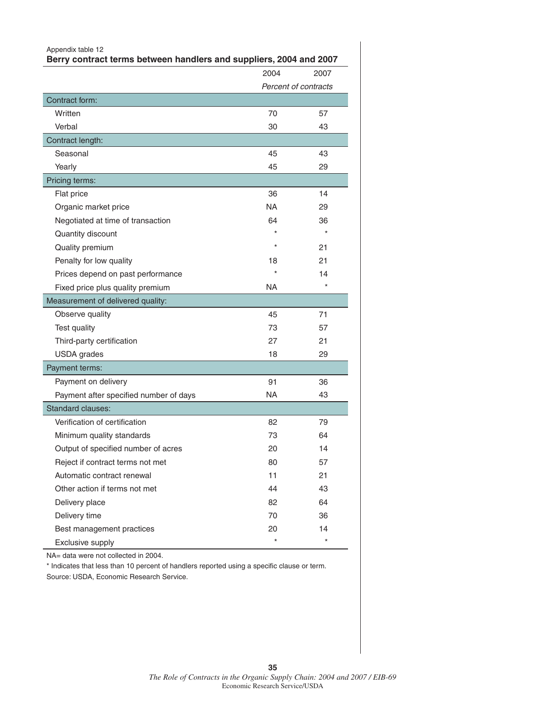| Appendix table 12<br>Berry contract terms between handlers and suppliers, 2004 and 2007 |         |                      |  |  |
|-----------------------------------------------------------------------------------------|---------|----------------------|--|--|
|                                                                                         | 2004    | 2007                 |  |  |
|                                                                                         |         | Percent of contracts |  |  |
| Contract form:                                                                          |         |                      |  |  |
| Written                                                                                 | 70      | 57                   |  |  |
| Verbal                                                                                  | 30      | 43                   |  |  |
| Contract length:                                                                        |         |                      |  |  |
| Seasonal                                                                                | 45      | 43                   |  |  |
| Yearly                                                                                  | 45      | 29                   |  |  |
| Pricing terms:                                                                          |         |                      |  |  |
| Flat price                                                                              | 36      | 14                   |  |  |
| Organic market price                                                                    | NA.     | 29                   |  |  |
| Negotiated at time of transaction                                                       | 64      | 36                   |  |  |
| Quantity discount                                                                       |         |                      |  |  |
| Quality premium                                                                         | $\star$ | 21                   |  |  |
| Penalty for low quality                                                                 | 18      | 21                   |  |  |
| Prices depend on past performance                                                       |         | 14                   |  |  |
| Fixed price plus quality premium                                                        | NA.     | $\star$              |  |  |
| Measurement of delivered quality:                                                       |         |                      |  |  |
| Observe quality                                                                         | 45      | 71                   |  |  |
| Test quality                                                                            | 73      | 57                   |  |  |
| Third-party certification                                                               | 27      | 21                   |  |  |
| <b>USDA</b> grades                                                                      | 18      | 29                   |  |  |
| Payment terms:                                                                          |         |                      |  |  |
| Payment on delivery                                                                     | 91      | 36                   |  |  |
| Payment after specified number of days                                                  | NA.     | 43                   |  |  |
| <b>Standard clauses:</b>                                                                |         |                      |  |  |
| Verification of certification                                                           | 82      | 79                   |  |  |
| Minimum quality standards                                                               | 73      | 64                   |  |  |
| Output of specified number of acres                                                     | 20      | 14                   |  |  |
| Reject if contract terms not met                                                        | 80      | 57                   |  |  |
| Automatic contract renewal                                                              | 11      | 21                   |  |  |
| Other action if terms not met                                                           | 44      | 43                   |  |  |
| Delivery place                                                                          | 82      | 64                   |  |  |
| Delivery time                                                                           | 70      | 36                   |  |  |
| Best management practices                                                               | 20      | 14                   |  |  |
| Exclusive supply                                                                        | $\star$ | $\star$              |  |  |

\* Indicates that less than 10 percent of handlers reported using a specific clause or term. Source: USDA, Economic Research Service.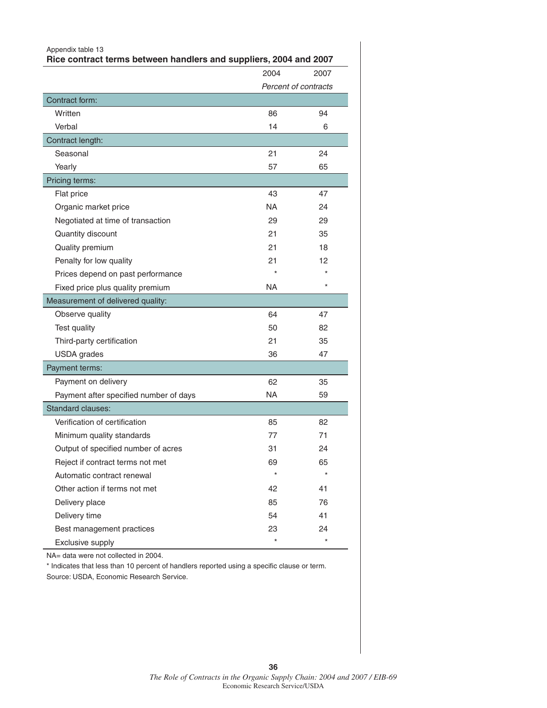| Appendix table 13<br>Rice contract terms between handlers and suppliers, 2004 and 2007 |           |                      |  |
|----------------------------------------------------------------------------------------|-----------|----------------------|--|
|                                                                                        | 2004      | 2007                 |  |
|                                                                                        |           | Percent of contracts |  |
| Contract form:                                                                         |           |                      |  |
| Written                                                                                | 86        | 94                   |  |
| Verbal                                                                                 | 14        | 6                    |  |
| Contract length:                                                                       |           |                      |  |
| Seasonal                                                                               | 21        | 24                   |  |
| Yearly                                                                                 | 57        | 65                   |  |
| Pricing terms:                                                                         |           |                      |  |
| Flat price                                                                             | 43        | 47                   |  |
| Organic market price                                                                   | NA.       | 24                   |  |
| Negotiated at time of transaction                                                      | 29        | 29                   |  |
| Quantity discount                                                                      | 21        | 35                   |  |
| Quality premium                                                                        | 21        | 18                   |  |
| Penalty for low quality                                                                | 21        | 12                   |  |
| Prices depend on past performance                                                      |           |                      |  |
| Fixed price plus quality premium                                                       | NA.       | $\star$              |  |
| Measurement of delivered quality:                                                      |           |                      |  |
| Observe quality                                                                        | 64        | 47                   |  |
| Test quality                                                                           | 50        | 82                   |  |
| Third-party certification                                                              | 21        | 35                   |  |
| <b>USDA</b> grades                                                                     | 36        | 47                   |  |
| Payment terms:                                                                         |           |                      |  |
| Payment on delivery                                                                    | 62        | 35                   |  |
| Payment after specified number of days                                                 | <b>NA</b> | 59                   |  |
| <b>Standard clauses:</b>                                                               |           |                      |  |
| Verification of certification                                                          | 85        | 82                   |  |
| Minimum quality standards                                                              | 77        | 71                   |  |
| Output of specified number of acres                                                    | 31        | 24                   |  |
| Reject if contract terms not met                                                       | 69        | 65                   |  |
| Automatic contract renewal                                                             |           |                      |  |
| Other action if terms not met                                                          | 42        | 41                   |  |
| Delivery place                                                                         | 85        | 76                   |  |
| Delivery time                                                                          | 54        | 41                   |  |
| Best management practices                                                              | 23        | 24                   |  |
| Exclusive supply                                                                       | $\star$   | $\star$              |  |

\* Indicates that less than 10 percent of handlers reported using a specific clause or term. Source: USDA, Economic Research Service.

**36**